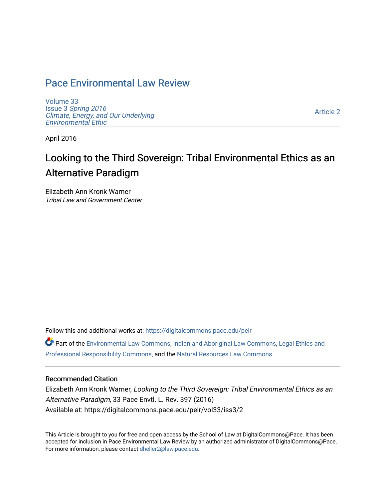# [Pace Environmental Law Review](https://digitalcommons.pace.edu/pelr)

[Volume 33](https://digitalcommons.pace.edu/pelr/vol33) Issue 3 [Spring 2016](https://digitalcommons.pace.edu/pelr/vol33/iss3)  [Climate, Energy, and Our Underlying](https://digitalcommons.pace.edu/pelr/vol33/iss3)  [Environmental Ethic](https://digitalcommons.pace.edu/pelr/vol33/iss3)

[Article 2](https://digitalcommons.pace.edu/pelr/vol33/iss3/2) 

April 2016

# Looking to the Third Sovereign: Tribal Environmental Ethics as an Alternative Paradigm

Elizabeth Ann Kronk Warner Tribal Law and Government Center

Follow this and additional works at: [https://digitalcommons.pace.edu/pelr](https://digitalcommons.pace.edu/pelr?utm_source=digitalcommons.pace.edu%2Fpelr%2Fvol33%2Fiss3%2F2&utm_medium=PDF&utm_campaign=PDFCoverPages)

Part of the [Environmental Law Commons](http://network.bepress.com/hgg/discipline/599?utm_source=digitalcommons.pace.edu%2Fpelr%2Fvol33%2Fiss3%2F2&utm_medium=PDF&utm_campaign=PDFCoverPages), [Indian and Aboriginal Law Commons](http://network.bepress.com/hgg/discipline/894?utm_source=digitalcommons.pace.edu%2Fpelr%2Fvol33%2Fiss3%2F2&utm_medium=PDF&utm_campaign=PDFCoverPages), [Legal Ethics and](http://network.bepress.com/hgg/discipline/895?utm_source=digitalcommons.pace.edu%2Fpelr%2Fvol33%2Fiss3%2F2&utm_medium=PDF&utm_campaign=PDFCoverPages) [Professional Responsibility Commons,](http://network.bepress.com/hgg/discipline/895?utm_source=digitalcommons.pace.edu%2Fpelr%2Fvol33%2Fiss3%2F2&utm_medium=PDF&utm_campaign=PDFCoverPages) and the [Natural Resources Law Commons](http://network.bepress.com/hgg/discipline/863?utm_source=digitalcommons.pace.edu%2Fpelr%2Fvol33%2Fiss3%2F2&utm_medium=PDF&utm_campaign=PDFCoverPages) 

## Recommended Citation

Elizabeth Ann Kronk Warner, Looking to the Third Sovereign: Tribal Environmental Ethics as an Alternative Paradigm, 33 Pace Envtl. L. Rev. 397 (2016) Available at: https://digitalcommons.pace.edu/pelr/vol33/iss3/2

This Article is brought to you for free and open access by the School of Law at DigitalCommons@Pace. It has been accepted for inclusion in Pace Environmental Law Review by an authorized administrator of DigitalCommons@Pace. For more information, please contact [dheller2@law.pace.edu](mailto:dheller2@law.pace.edu).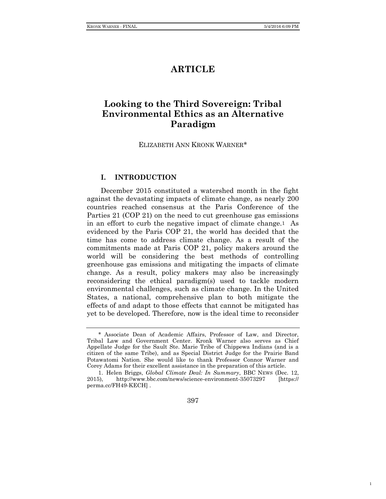1

## **ARTICLE**

## **Looking to the Third Sovereign: Tribal Environmental Ethics as an Alternative Paradigm**

ELIZABETH ANN KRONK WARNER\*

## **I. INTRODUCTION**

December 2015 constituted a watershed month in the fight against the devastating impacts of climate change, as nearly 200 countries reached consensus at the Paris Conference of the Parties 21 (COP 21) on the need to cut greenhouse gas emissions in an effort to curb the negative impact of climate change.1 As evidenced by the Paris COP 21, the world has decided that the time has come to address climate change. As a result of the commitments made at Paris COP 21, policy makers around the world will be considering the best methods of controlling greenhouse gas emissions and mitigating the impacts of climate change. As a result, policy makers may also be increasingly reconsidering the ethical paradigm(s) used to tackle modern environmental challenges, such as climate change. In the United States, a national, comprehensive plan to both mitigate the effects of and adapt to those effects that cannot be mitigated has yet to be developed. Therefore, now is the ideal time to reconsider

397

<sup>\*</sup> Associate Dean of Academic Affairs, Professor of Law, and Director, Tribal Law and Government Center. Kronk Warner also serves as Chief Appellate Judge for the Sault Ste. Marie Tribe of Chippewa Indians (and is a citizen of the same Tribe), and as Special District Judge for the Prairie Band Potawatomi Nation. She would like to thank Professor Connor Warner and Corey Adams for their excellent assistance in the preparation of this article.

<sup>1.</sup> Helen Briggs, *Global Climate Deal: In Summary*, BBC NEWS (Dec. 12, 2015), http://www.bbc.com/news/science-environment-35073297 [https:// perma.cc/FH49-KECH] .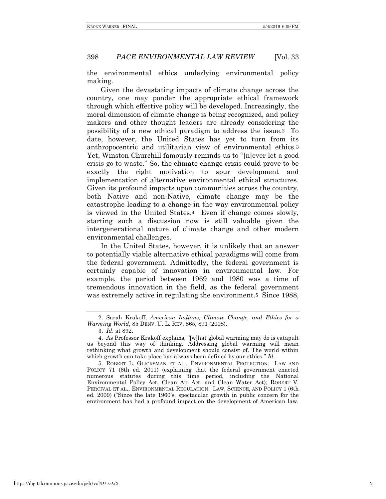the environmental ethics underlying environmental policy making.

Given the devastating impacts of climate change across the country, one may ponder the appropriate ethical framework through which effective policy will be developed. Increasingly, the moral dimension of climate change is being recognized, and policy makers and other thought leaders are already considering the possibility of a new ethical paradigm to address the issue.2 To date, however, the United States has yet to turn from its anthropocentric and utilitarian view of environmental ethics.3 Yet, Winston Churchill famously reminds us to "[n]ever let a good crisis go to waste." So, the climate change crisis could prove to be exactly the right motivation to spur development and implementation of alternative environmental ethical structures. Given its profound impacts upon communities across the country, both Native and non-Native, climate change may be the catastrophe leading to a change in the way environmental policy is viewed in the United States.4 Even if change comes slowly, starting such a discussion now is still valuable given the intergenerational nature of climate change and other modern environmental challenges.

In the United States, however, it is unlikely that an answer to potentially viable alternative ethical paradigms will come from the federal government. Admittedly, the federal government is certainly capable of innovation in environmental law. For example, the period between 1969 and 1980 was a time of tremendous innovation in the field, as the federal government was extremely active in regulating the environment.<sup>5</sup> Since 1988,

5. ROBERT L. GLICKSMAN ET AL., ENVIRONMENTAL PROTECTION: LAW AND POLICY 71 (6th ed. 2011) (explaining that the federal government enacted numerous statutes during this time period, including the National Environmental Policy Act, Clean Air Act, and Clean Water Act); ROBERT V. PERCIVAL ET AL., ENVIRONMENTAL REGULATION: LAW, SCIENCE, AND POLICY 1 (6th ed. 2009) ("Since the late 1960's, spectacular growth in public concern for the environment has had a profound impact on the development of American law.

<sup>2.</sup> Sarah Krakoff, *American Indians, Climate Change, and Ethics for a Warming World*, 85 DENV. U. L. REV. 865, 891 (2008).

<sup>3.</sup> *Id*. at 892.

<sup>4.</sup> As Professor Krakoff explains, "[w]hat global warming may do is catapult us beyond this way of thinking. Addressing global warming will mean rethinking what growth and development should consist of. The world within which growth can take place has always been defined by our ethics." *Id*.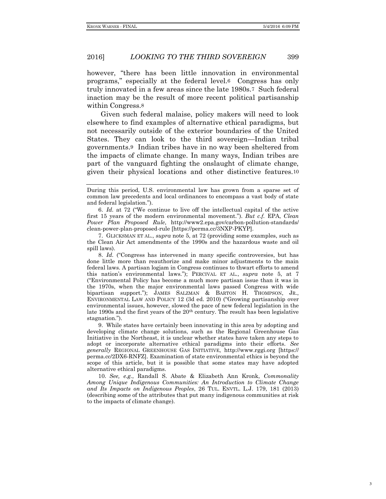however, "there has been little innovation in environmental programs," especially at the federal level.6 Congress has only truly innovated in a few areas since the late 1980s.7 Such federal inaction may be the result of more recent political partisanship within Congress.8

Given such federal malaise, policy makers will need to look elsewhere to find examples of alternative ethical paradigms, but not necessarily outside of the exterior boundaries of the United States. They can look to the third sovereign—Indian tribal governments.9 Indian tribes have in no way been sheltered from the impacts of climate change. In many ways, Indian tribes are part of the vanguard fighting the onslaught of climate change, given their physical locations and other distinctive features.10

7. GLICKSMAN ET AL., *supra* note 5, at 72 (providing some examples, such as the Clean Air Act amendments of the 1990s and the hazardous waste and oil spill laws).

8. *Id.* ("Congress has intervened in many specific controversies, but has done little more than reauthorize and make minor adjustments to the main federal laws. A partisan logjam in Congress continues to thwart efforts to amend this nation's environmental laws."); PERCIVAL ET AL., *supra* note 5, at 7 ("Environmental Policy has become a much more partisan issue than it was in the 1970s, when the major environmental laws passed Congress with wide bipartisan support."); JAMES SALZMAN & BARTON H. THOMPSON, JR., ENVIRONMENTAL LAW AND POLICY 12 (3d ed. 2010) ("Growing partisanship over environmental issues, however, slowed the pace of new federal legislation in the late 1990s and the first years of the 20th century. The result has been legislative stagnation.").

9. While states have certainly been innovating in this area by adopting and developing climate change solutions, such as the Regional Greenhouse Gas Initiative in the Northeast, it is unclear whether states have taken any steps to adopt or incorporate alternative ethical paradigms into their efforts. *See generally* REGIONAL GREENHOUSE GAS INITIATIVE, http://www.rggi.org [https:// perma.cc/2DX6-RNFZ]. Examination of state environmental ethics is beyond the scope of this article, but it is possible that some states may have adopted alternative ethical paradigms.

10. *See, e.g.*, Randall S. Abate & Elizabeth Ann Kronk, *Commonality Among Unique Indigenous Communities: An Introduction to Climate Change and Its Impacts on Indigenous Peoples*, 26 TUL. ENVTL. L.J. 179, 181 (2013) (describing some of the attributes that put many indigenous communities at risk to the impacts of climate change).

During this period, U.S. environmental law has grown from a sparse set of common law precedents and local ordinances to encompass a vast body of state and federal legislation.").

<sup>6.</sup> *Id.* at 72 ("We continue to live off the intellectual capital of the active first 15 years of the modern environmental movement."). *But c.f.* EPA, *Clean Power Plan Proposed Rule*, http://www2.epa.gov/carbon-pollution-standards/ clean-power-plan-proposed-rule [https://perma.cc/3NXP-PKYP].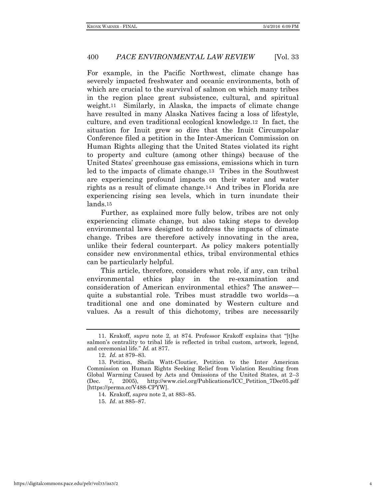For example, in the Pacific Northwest, climate change has severely impacted freshwater and oceanic environments, both of which are crucial to the survival of salmon on which many tribes in the region place great subsistence, cultural, and spiritual weight.11 Similarly, in Alaska, the impacts of climate change have resulted in many Alaska Natives facing a loss of lifestyle, culture, and even traditional ecological knowledge.12 In fact, the situation for Inuit grew so dire that the Inuit Circumpolar Conference filed a petition in the Inter-American Commission on Human Rights alleging that the United States violated its right to property and culture (among other things) because of the United States' greenhouse gas emissions, emissions which in turn led to the impacts of climate change.13 Tribes in the Southwest are experiencing profound impacts on their water and water rights as a result of climate change.14 And tribes in Florida are experiencing rising sea levels, which in turn inundate their lands.15

Further, as explained more fully below, tribes are not only experiencing climate change, but also taking steps to develop environmental laws designed to address the impacts of climate change. Tribes are therefore actively innovating in the area, unlike their federal counterpart. As policy makers potentially consider new environmental ethics, tribal environmental ethics can be particularly helpful.

This article, therefore, considers what role, if any, can tribal environmental ethics play in the re-examination and consideration of American environmental ethics? The answer quite a substantial role. Tribes must straddle two worlds—a traditional one and one dominated by Western culture and values. As a result of this dichotomy, tribes are necessarily

14. Krakoff, *supra* note 2, at 883–85.

15. *Id*. at 885–87.

<sup>11.</sup> Krakoff, *supra* note 2, at 874. Professor Krakoff explains that "[t]he salmon's centrality to tribal life is reflected in tribal custom, artwork, legend, and ceremonial life." *Id.* at 877.

<sup>12.</sup> *Id.* at 879–83.

<sup>13.</sup> Petition, Sheila Watt-Cloutier, Petition to the Inter American Commission on Human Rights Seeking Relief from Violation Resulting from Global Warming Caused by Acts and Omissions of the United States, at 2–3 (Dec. 7, 2005), http://www.ciel.org/Publications/ICC\_Petition\_7Dec05.pdf [https://perma.cc/V488-CPYW].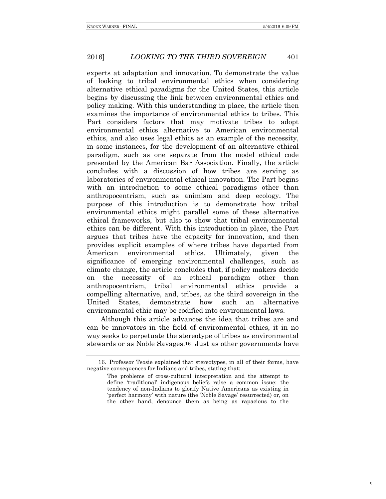experts at adaptation and innovation. To demonstrate the value of looking to tribal environmental ethics when considering alternative ethical paradigms for the United States, this article begins by discussing the link between environmental ethics and policy making. With this understanding in place, the article then examines the importance of environmental ethics to tribes. This Part considers factors that may motivate tribes to adopt environmental ethics alternative to American environmental ethics, and also uses legal ethics as an example of the necessity, in some instances, for the development of an alternative ethical paradigm, such as one separate from the model ethical code presented by the American Bar Association. Finally, the article concludes with a discussion of how tribes are serving as laboratories of environmental ethical innovation. The Part begins with an introduction to some ethical paradigms other than anthropocentrism, such as animism and deep ecology. The purpose of this introduction is to demonstrate how tribal environmental ethics might parallel some of these alternative ethical frameworks, but also to show that tribal environmental ethics can be different. With this introduction in place, the Part argues that tribes have the capacity for innovation, and then provides explicit examples of where tribes have departed from American environmental ethics. Ultimately, given the significance of emerging environmental challenges, such as climate change, the article concludes that, if policy makers decide on the necessity of an ethical paradigm other than anthropocentrism, tribal environmental ethics provide a compelling alternative, and, tribes, as the third sovereign in the United States, demonstrate how such an alternative environmental ethic may be codified into environmental laws.

Although this article advances the idea that tribes are and can be innovators in the field of environmental ethics, it in no way seeks to perpetuate the stereotype of tribes as environmental stewards or as Noble Savages.16 Just as other governments have

<sup>16.</sup> Professor Tsosie explained that stereotypes, in all of their forms, have negative consequences for Indians and tribes, stating that:

The problems of cross-cultural interpretation and the attempt to define 'traditional' indigenous beliefs raise a common issue: the tendency of non-Indians to glorify Native Americans as existing in 'perfect harmony' with nature (the 'Noble Savage' resurrected) or, on the other hand, denounce them as being as rapacious to the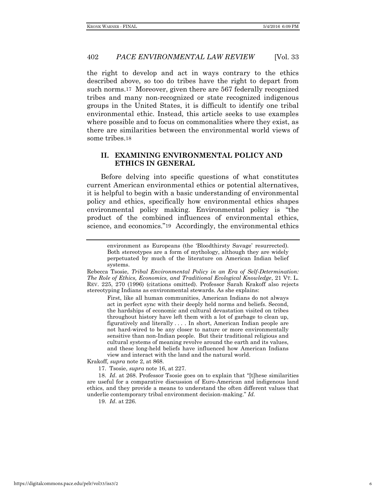the right to develop and act in ways contrary to the ethics described above, so too do tribes have the right to depart from such norms.17 Moreover, given there are 567 federally recognized tribes and many non-recognized or state recognized indigenous groups in the United States, it is difficult to identify one tribal environmental ethic. Instead, this article seeks to use examples where possible and to focus on commonalities where they exist, as there are similarities between the environmental world views of some tribes.18

## **II. EXAMINING ENVIRONMENTAL POLICY AND ETHICS IN GENERAL**

Before delving into specific questions of what constitutes current American environmental ethics or potential alternatives, it is helpful to begin with a basic understanding of environmental policy and ethics, specifically how environmental ethics shapes environmental policy making. Environmental policy is "the product of the combined influences of environmental ethics, science, and economics."19 Accordingly, the environmental ethics

First, like all human communities, American Indians do not always act in perfect sync with their deeply held norms and beliefs. Second, the hardships of economic and cultural devastation visited on tribes throughout history have left them with a lot of garbage to clean up, figuratively and literally . . . . In short, American Indian people are not hard-wired to be any closer to nature or more environmentally sensitive than non-Indian people. But their traditional religious and cultural systems of meaning revolve around the earth and its values, and these long-held beliefs have influenced how American Indians view and interact with the land and the natural world.

Krakoff*, supra* note 2, at 868.

17. Tsosie, *supra* note 16, at 227.

18. *Id*. at 268. Professor Tsosie goes on to explain that "[t]hese similarities are useful for a comparative discussion of Euro-American and indigenous land ethics, and they provide a means to understand the often different values that underlie contemporary tribal environment decision-making." *Id.*

19. *Id*. at 226.

environment as Europeans (the 'Bloodthirsty Savage' resurrected). Both stereotypes are a form of mythology, although they are widely perpetuated by much of the literature on American Indian belief systems.

Rebecca Tsosie, *Tribal Environmental Policy in an Era of Self-Determination: The Role of Ethics, Economics, and Traditional Ecological Knowledge*, 21 VT. L. REV. 225, 270 (1996) (citations omitted). Professor Sarah Krakoff also rejects stereotyping Indians as environmental stewards. As she explains: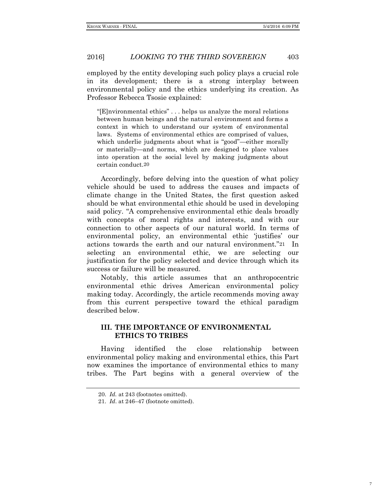employed by the entity developing such policy plays a crucial role in its development; there is a strong interplay between environmental policy and the ethics underlying its creation. As Professor Rebecca Tsosie explained:

"[E]nvironmental ethics" . . . helps us analyze the moral relations between human beings and the natural environment and forms a context in which to understand our system of environmental laws. Systems of environmental ethics are comprised of values, which underlie judgments about what is "good"—either morally or materially—and norms, which are designed to place values into operation at the social level by making judgments about certain conduct.20

Accordingly, before delving into the question of what policy vehicle should be used to address the causes and impacts of climate change in the United States, the first question asked should be what environmental ethic should be used in developing said policy. "A comprehensive environmental ethic deals broadly with concepts of moral rights and interests, and with our connection to other aspects of our natural world. In terms of environmental policy, an environmental ethic 'justifies' our actions towards the earth and our natural environment."21 In selecting an environmental ethic, we are selecting our justification for the policy selected and device through which its success or failure will be measured.

Notably, this article assumes that an anthropocentric environmental ethic drives American environmental policy making today. Accordingly, the article recommends moving away from this current perspective toward the ethical paradigm described below.

## **III. THE IMPORTANCE OF ENVIRONMENTAL ETHICS TO TRIBES**

Having identified the close relationship between environmental policy making and environmental ethics, this Part now examines the importance of environmental ethics to many tribes. The Part begins with a general overview of the

<sup>20.</sup> *Id.* at 243 (footnotes omitted).

<sup>21.</sup> *Id*. at 246–47 (footnote omitted).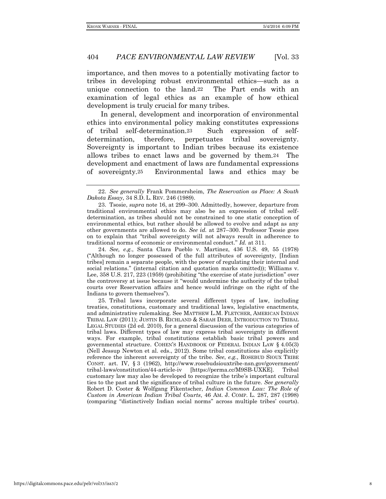importance, and then moves to a potentially motivating factor to tribes in developing robust environmental ethics—such as a unique connection to the land.22 The Part ends with an examination of legal ethics as an example of how ethical development is truly crucial for many tribes.

In general, development and incorporation of environmental ethics into environmental policy making constitutes expressions of tribal self-determination.23 Such expression of selfdetermination, therefore, perpetuates tribal sovereignty. Sovereignty is important to Indian tribes because its existence allows tribes to enact laws and be governed by them.24 The development and enactment of laws are fundamental expressions of sovereignty.25 Environmental laws and ethics may be

24. *See, e.g.*, Santa Clara Pueblo v. Martinez, 436 U.S. 49, 55 (1978) ("Although no longer possessed of the full attributes of sovereignty, [Indian tribes] remain a separate people, with the power of regulating their internal and social relations." (internal citation and quotation marks omitted)); Williams v. Lee, 358 U.S. 217, 223 (1959) (prohibiting "the exercise of state jurisdiction" over the controversy at issue because it "would undermine the authority of the tribal courts over Reservation affairs and hence would infringe on the right of the Indians to govern themselves").

25. Tribal laws incorporate several different types of law, including treaties, constitutions, customary and traditional laws, legislative enactments, and administrative rulemaking. See MATTHEW L.M. FLETCHER, AMERICAN INDIAN TRIBAL LAW (2011); JUSTIN B. RICHLAND & SARAH DEER, INTRODUCTION TO TRIBAL LEGAL STUDIES (2d ed. 2010), for a general discussion of the various categories of tribal laws. Different types of law may express tribal sovereignty in different ways. For example, tribal constitutions establish basic tribal powers and governmental structure. COHEN'S HANDBOOK OF FEDERAL INDIAN LAW § 4.05(3) (Nell Jessup Newton et al. eds., 2012). Some tribal constitutions also explicitly reference the inherent sovereignty of the tribe. *See*, *e.g.*, ROSEBUD SIOUX TRIBE CONST. art. IV, § 3 (1962), http://www.rosebudsiouxtribe-nsn.gov/government/ tribal-laws/constitution/44-article-iv [https://perma.cc/M9SB-UXKE]. Tribal customary law may also be developed to recognize the tribe's important cultural ties to the past and the significance of tribal culture in the future. *See generally*  Robert D. Cooter & Wolfgang Fikentscher, *Indian Common Law: The Role of Custom in American Indian Tribal Courts*, 46 AM. J. COMP. L. 287, 287 (1998) (comparing "distinctively Indian social norms" across multiple tribes' courts).

<sup>22.</sup> *See generally* Frank Pommersheim, *The Reservation as Place: A South Dakota Essay*, 34 S.D. L. REV. 246 (1989).

<sup>23.</sup> Tsosie, *supra* note 16, at 299–300. Admittedly, however, departure from traditional environmental ethics may also be an expression of tribal selfdetermination, as tribes should not be constrained to one static conception of environmental ethics, but rather should be allowed to evolve and adapt as any other governments are allowed to do. *See id.* at 287–300. Professor Tsosie goes on to explain that "tribal sovereignty will not always result in adherence to traditional norms of economic or environmental conduct." *Id.* at 311.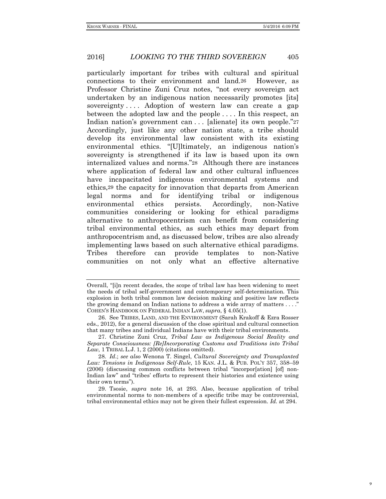particularly important for tribes with cultural and spiritual connections to their environment and land.26 However, as Professor Christine Zuni Cruz notes, "not every sovereign act undertaken by an indigenous nation necessarily promotes [its] sovereignty.... Adoption of western law can create a gap between the adopted law and the people . . . . In this respect, an Indian nation's government can . . . [alienate] its own people."27 Accordingly, just like any other nation state, a tribe should develop its environmental law consistent with its existing environmental ethics. "[U]ltimately, an indigenous nation's sovereignty is strengthened if its law is based upon its own internalized values and norms."28 Although there are instances where application of federal law and other cultural influences have incapacitated indigenous environmental systems and ethics,29 the capacity for innovation that departs from American legal norms and for identifying tribal or indigenous environmental ethics persists. Accordingly, non-Native communities considering or looking for ethical paradigms alternative to anthropocentrism can benefit from considering tribal environmental ethics, as such ethics may depart from anthropocentrism and, as discussed below, tribes are also already implementing laws based on such alternative ethical paradigms. Tribes therefore can provide templates to non-Native communities on not only what an effective alternative

Overall, "[i]n recent decades, the scope of tribal law has been widening to meet the needs of tribal self-government and contemporary self-determination. This explosion in both tribal common law decision making and positive law reflects the growing demand on Indian nations to address a wide array of matters  $\dots$ . COHEN'S HANDBOOK ON FEDERAL INDIAN LAW, *supra*, § 4.05(1).

<sup>26.</sup> See TRIBES, LAND, AND THE ENVIRONMENT (Sarah Krakoff & Ezra Rosser eds., 2012), for a general discussion of the close spiritual and cultural connection that many tribes and individual Indians have with their tribal environments.

<sup>27.</sup> Christine Zuni Cruz, *Tribal Law as Indigenous Social Reality and Separate Consciousness: [Re]Incorporating Customs and Traditions into Tribal Law*, 1 TRIBAL L.J. 1, 2 (2000) (citations omitted).

<sup>28</sup>*. Id*.; *see also* Wenona T. Singel, *Cultural Sovereignty and Transplanted Law: Tensions in Indigenous Self-Rule*, 15 KAN. J.L. & PUB. POL'Y 357, 358–59 (2006) (discussing common conflicts between tribal "incorpor[ation] [of] non-Indian law" and "tribes' efforts to represent their histories and existence using their own terms").

<sup>29.</sup> Tsosie, *supra* note 16, at 293. Also, because application of tribal environmental norms to non-members of a specific tribe may be controversial, tribal environmental ethics may not be given their fullest expression. *Id.* at 294.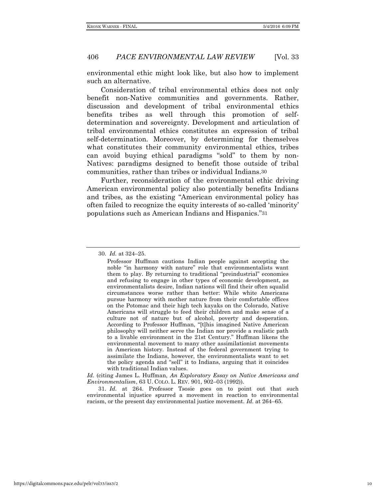environmental ethic might look like, but also how to implement such an alternative.

Consideration of tribal environmental ethics does not only benefit non-Native communities and governments. Rather, discussion and development of tribal environmental ethics benefits tribes as well through this promotion of selfdetermination and sovereignty. Development and articulation of tribal environmental ethics constitutes an expression of tribal self-determination. Moreover, by determining for themselves what constitutes their community environmental ethics, tribes can avoid buying ethical paradigms "sold" to them by non-Natives: paradigms designed to benefit those outside of tribal communities, rather than tribes or individual Indians.30

Further, reconsideration of the environmental ethic driving American environmental policy also potentially benefits Indians and tribes, as the existing "American environmental policy has often failed to recognize the equity interests of so-called 'minority' populations such as American Indians and Hispanics."31

*Id.* (citing James L. Huffman, *An Exploratory Essay on Native Americans and Environmentalism*, 63 U. COLO. L. REV. 901, 902–03 (1992)).

31. *Id.* at 264. Professor Tsosie goes on to point out that such environmental injustice spurred a movement in reaction to environmental racism, or the present day environmental justice movement. *Id.* at 264–65.

<sup>30.</sup> *Id.* at 324–25.

Professor Huffman cautions Indian people against accepting the noble "in harmony with nature" role that environmentalists want them to play. By returning to traditional "preindustrial" economies and refusing to engage in other types of economic development, as environmentalists desire, Indian nations will find their often squalid circumstances worse rather than better: While white Americans pursue harmony with mother nature from their comfortable offices on the Potomac and their high tech kayaks on the Colorado, Native Americans will struggle to feed their children and make sense of a culture not of nature but of alcohol, poverty and desperation. According to Professor Huffman, "[t]his imagined Native American philosophy will neither serve the Indian nor provide a realistic path to a livable environment in the 21st Century." Huffman likens the environmental movement to many other assimilationist movements in American history. Instead of the federal government trying to assimilate the Indians, however, the environmentalists want to set the policy agenda and "sell" it to Indians, arguing that it coincides with traditional Indian values.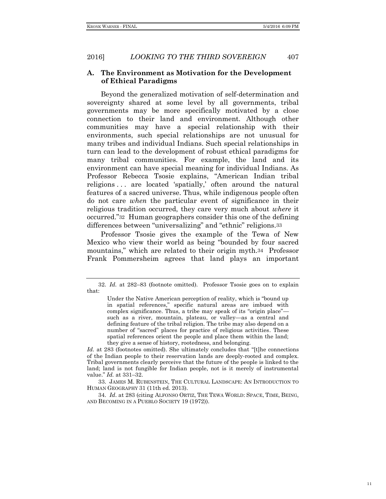## **A. The Environment as Motivation for the Development of Ethical Paradigms**

Beyond the generalized motivation of self-determination and sovereignty shared at some level by all governments, tribal governments may be more specifically motivated by a close connection to their land and environment. Although other communities may have a special relationship with their environments, such special relationships are not unusual for many tribes and individual Indians. Such special relationships in turn can lead to the development of robust ethical paradigms for many tribal communities. For example, the land and its environment can have special meaning for individual Indians. As Professor Rebecca Tsosie explains, "American Indian tribal religions . . . are located 'spatially,' often around the natural features of a sacred universe. Thus, while indigenous people often do not care *when* the particular event of significance in their religious tradition occurred, they care very much about *where* it occurred."32 Human geographers consider this one of the defining differences between "universalizing" and "ethnic" religions.33

Professor Tsosie gives the example of the Tewa of New Mexico who view their world as being "bounded by four sacred mountains," which are related to their origin myth.34 Professor Frank Pommersheim agrees that land plays an important

33. JAMES M. RUBENSTEIN, THE CULTURAL LANDSCAPE: AN INTRODUCTION TO HUMAN GEOGRAPHY 31 (11th ed. 2013).

34. *Id*. at 283 (citing ALFONSO ORTIZ, THE TEWA WORLD: SPACE, TIME, BEING, AND BECOMING IN A PUEBLO SOCIETY 19 (1972)).

<sup>32.</sup> *Id.* at 282–83 (footnote omitted). Professor Tsosie goes on to explain that:

Under the Native American perception of reality, which is "bound up in spatial references," specific natural areas are imbued with complex significance. Thus, a tribe may speak of its "origin place" such as a river, mountain, plateau, or valley—as a central and defining feature of the tribal religion. The tribe may also depend on a number of "sacred" places for practice of religious activities. These spatial references orient the people and place them within the land; they give a sense of history, rootedness, and belonging.

*Id.* at 283 (footnotes omitted). She ultimately concludes that "[t]he connections of the Indian people to their reservation lands are deeply-rooted and complex. Tribal governments clearly perceive that the future of the people is linked to the land; land is not fungible for Indian people, not is it merely of instrumental value." *Id.* at 331–32.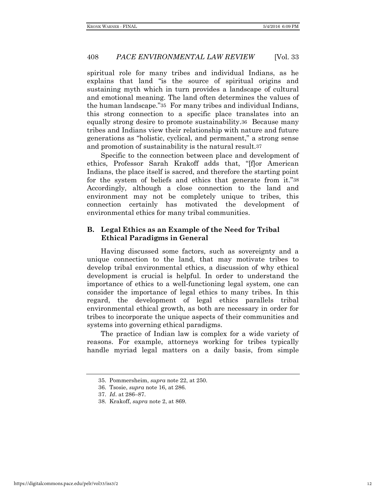spiritual role for many tribes and individual Indians, as he explains that land "is the source of spiritual origins and sustaining myth which in turn provides a landscape of cultural and emotional meaning. The land often determines the values of the human landscape."35 For many tribes and individual Indians, this strong connection to a specific place translates into an equally strong desire to promote sustainability.36 Because many tribes and Indians view their relationship with nature and future generations as "holistic, cyclical, and permanent," a strong sense and promotion of sustainability is the natural result.37

Specific to the connection between place and development of ethics, Professor Sarah Krakoff adds that, "[f]or American Indians, the place itself is sacred, and therefore the starting point for the system of beliefs and ethics that generate from it."38 Accordingly, although a close connection to the land and environment may not be completely unique to tribes, this connection certainly has motivated the development of environmental ethics for many tribal communities.

## **B. Legal Ethics as an Example of the Need for Tribal Ethical Paradigms in General**

Having discussed some factors, such as sovereignty and a unique connection to the land, that may motivate tribes to develop tribal environmental ethics, a discussion of why ethical development is crucial is helpful. In order to understand the importance of ethics to a well-functioning legal system, one can consider the importance of legal ethics to many tribes. In this regard, the development of legal ethics parallels tribal environmental ethical growth, as both are necessary in order for tribes to incorporate the unique aspects of their communities and systems into governing ethical paradigms.

The practice of Indian law is complex for a wide variety of reasons. For example, attorneys working for tribes typically handle myriad legal matters on a daily basis, from simple

<sup>35.</sup> Pommersheim, *supra* note 22, at 250.

<sup>36.</sup> Tsosie, *supra* note 16, at 286.

<sup>37.</sup> *Id*. at 286–87.

<sup>38.</sup> Krakoff, *supra* note 2, at 869.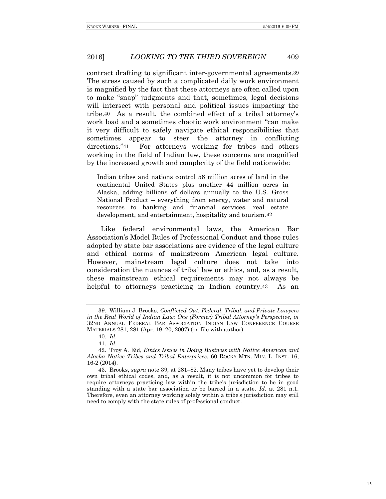contract drafting to significant inter-governmental agreements.39 The stress caused by such a complicated daily work environment is magnified by the fact that these attorneys are often called upon to make "snap" judgments and that, sometimes, legal decisions will intersect with personal and political issues impacting the tribe.40 As a result, the combined effect of a tribal attorney's work load and a sometimes chaotic work environment "can make it very difficult to safely navigate ethical responsibilities that sometimes appear to steer the attorney in conflicting directions."41 For attorneys working for tribes and others working in the field of Indian law, these concerns are magnified by the increased growth and complexity of the field nationwide:

Indian tribes and nations control 56 million acres of land in the continental United States plus another 44 million acres in Alaska, adding billions of dollars annually to the U.S. Gross National Product – everything from energy, water and natural resources to banking and financial services, real estate development, and entertainment, hospitality and tourism.42

Like federal environmental laws, the American Bar Association's Model Rules of Professional Conduct and those rules adopted by state bar associations are evidence of the legal culture and ethical norms of mainstream American legal culture. However, mainstream legal culture does not take into consideration the nuances of tribal law or ethics, and, as a result, these mainstream ethical requirements may not always be helpful to attorneys practicing in Indian country.<sup>43</sup> As an

<sup>39.</sup> William J. Brooks, *Conflicted Out: Federal, Tribal, and Private Lawyers in the Real World of Indian Law: One (Former) Tribal Attorney's Perspective*, *in* 32ND ANNUAL FEDERAL BAR ASSOCIATION INDIAN LAW CONFERENCE COURSE MATERIALS 281, 281 (Apr. 19–20, 2007) (on file with author).

<sup>40.</sup> *Id.*

<sup>41.</sup> *Id.* 

<sup>42.</sup> Troy A. Eid, *Ethics Issues in Doing Business with Native American and Alaska Native Tribes and Tribal Enterprises*, 60 ROCKY MTN. MIN. L. INST. 16, 16-2 (2014).

<sup>43.</sup> Brooks, *supra* note 39, at 281–82. Many tribes have yet to develop their own tribal ethical codes, and, as a result, it is not uncommon for tribes to require attorneys practicing law within the tribe's jurisdiction to be in good standing with a state bar association or be barred in a state. *Id.* at 281 n.1. Therefore, even an attorney working solely within a tribe's jurisdiction may still need to comply with the state rules of professional conduct.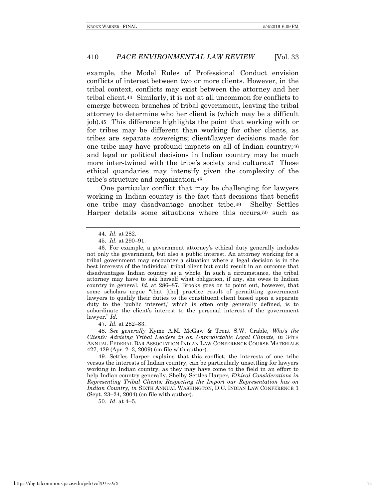example, the Model Rules of Professional Conduct envision conflicts of interest between two or more clients. However, in the tribal context, conflicts may exist between the attorney and her tribal client.44 Similarly, it is not at all uncommon for conflicts to emerge between branches of tribal government, leaving the tribal attorney to determine who her client is (which may be a difficult job).45 This difference highlights the point that working with or for tribes may be different than working for other clients, as tribes are separate sovereigns; client/lawyer decisions made for one tribe may have profound impacts on all of Indian country;46 and legal or political decisions in Indian country may be much more inter-twined with the tribe's society and culture.47 These ethical quandaries may intensify given the complexity of the tribe's structure and organization.48

One particular conflict that may be challenging for lawyers working in Indian country is the fact that decisions that benefit one tribe may disadvantage another tribe.49 Shelby Settles Harper details some situations where this occurs,50 such as

47. *Id.* at 282–83.

48. *See generally* Kyme A.M. McGaw & Trent S.W. Crable, *Who's the Client?: Advising Tribal Leaders in an Unpredictable Legal Climate, in* 34TH ANNUAL FEDERAL BAR ASSOCIATION INDIAN LAW CONFERENCE COURSE MATERIALS 427, 429 (Apr. 2–3, 2009) (on file with author).

49. Settles Harper explains that this conflict, the interests of one tribe versus the interests of Indian country, can be particularly unsettling for lawyers working in Indian country, as they may have come to the field in an effort to help Indian country generally. Shelby Settles Harper, *Ethical Considerations in Representing Tribal Clients: Respecting the Import our Representation has on Indian Country*, *in* SIXTH ANNUAL WASHINGTON, D.C. INDIAN LAW CONFERENCE 1 (Sept. 23–24, 2004) (on file with author).

50. *Id*. at 4–5.

<sup>44.</sup> *Id.* at 282.

<sup>45.</sup> *Id.* at 290–91.

<sup>46.</sup> For example, a government attorney's ethical duty generally includes not only the government, but also a public interest. An attorney working for a tribal government may encounter a situation where a legal decision is in the best interests of the individual tribal client but could result in an outcome that disadvantages Indian country as a whole. In such a circumstance, the tribal attorney may have to ask herself what obligation, if any, she owes to Indian country in general. *Id.* at 286–87. Brooks goes on to point out, however, that some scholars argue "that [the] practice result of permitting government lawyers to qualify their duties to the constituent client based upon a separate duty to the 'public interest,' which is often only generally defined, is to subordinate the client's interest to the personal interest of the government lawyer." *Id.*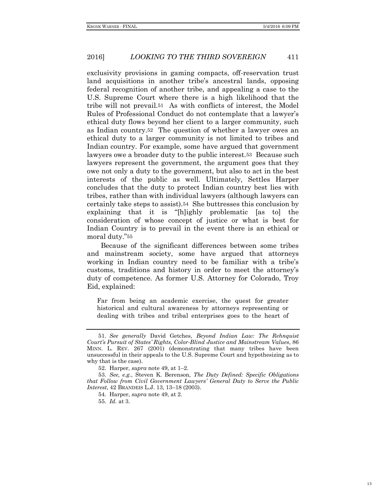exclusivity provisions in gaming compacts, off-reservation trust land acquisitions in another tribe's ancestral lands, opposing federal recognition of another tribe, and appealing a case to the U.S. Supreme Court where there is a high likelihood that the tribe will not prevail.51 As with conflicts of interest, the Model Rules of Professional Conduct do not contemplate that a lawyer's ethical duty flows beyond her client to a larger community, such as Indian country.52 The question of whether a lawyer owes an ethical duty to a larger community is not limited to tribes and Indian country. For example, some have argued that government lawyers owe a broader duty to the public interest.53 Because such lawyers represent the government, the argument goes that they owe not only a duty to the government, but also to act in the best interests of the public as well. Ultimately, Settles Harper concludes that the duty to protect Indian country best lies with tribes, rather than with individual lawyers (although lawyers can certainly take steps to assist).54 She buttresses this conclusion by explaining that it is "[h]ighly problematic [as to] the consideration of whose concept of justice or what is best for Indian Country is to prevail in the event there is an ethical or moral duty."55

Because of the significant differences between some tribes and mainstream society, some have argued that attorneys working in Indian country need to be familiar with a tribe's customs, traditions and history in order to meet the attorney's duty of competence. As former U.S. Attorney for Colorado, Troy Eid, explained:

Far from being an academic exercise, the quest for greater historical and cultural awareness by attorneys representing or dealing with tribes and tribal enterprises goes to the heart of

55. *Id.* at 3.

<sup>51.</sup> *See generally* David Getches, *Beyond Indian Law: The Rehnquist Court's Pursuit of States' Rights, Color-Blind Justice and Mainstream Values*, 86 MINN. L. REV. 267 (2001) (demonstrating that many tribes have been unsuccessful in their appeals to the U.S. Supreme Court and hypothesizing as to why that is the case).

<sup>52.</sup> Harper, *supra* note 49, at 1–2.

<sup>53.</sup> *See, e.g.*, Steven K. Berenson, *The Duty Defined: Specific Obligations that Follow from Civil Government Lawyers' General Duty to Serve the Public Interest*, 42 BRANDEIS L.J. 13, 13–18 (2003).

<sup>54</sup>*.* Harper, *supra* note 49, at 2.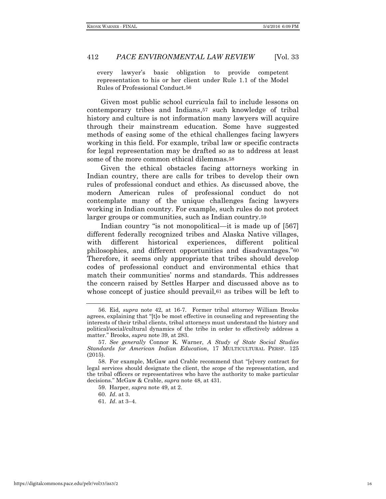every lawyer's basic obligation to provide competent representation to his or her client under Rule 1.1 of the Model Rules of Professional Conduct.56

Given most public school curricula fail to include lessons on contemporary tribes and Indians,57 such knowledge of tribal history and culture is not information many lawyers will acquire through their mainstream education. Some have suggested methods of easing some of the ethical challenges facing lawyers working in this field. For example, tribal law or specific contracts for legal representation may be drafted so as to address at least some of the more common ethical dilemmas.58

Given the ethical obstacles facing attorneys working in Indian country, there are calls for tribes to develop their own rules of professional conduct and ethics. As discussed above, the modern American rules of professional conduct do not contemplate many of the unique challenges facing lawyers working in Indian country. For example, such rules do not protect larger groups or communities, such as Indian country.59

Indian country "is not monopolitical—it is made up of [567] different federally recognized tribes and Alaska Native villages, with different historical experiences, different political philosophies, and different opportunities and disadvantages."60 Therefore, it seems only appropriate that tribes should develop codes of professional conduct and environmental ethics that match their communities' norms and standards. This addresses the concern raised by Settles Harper and discussed above as to whose concept of justice should prevail,  $61$  as tribes will be left to

<sup>56.</sup> Eid, *supra* note 42, at 16-7. Former tribal attorney William Brooks agrees, explaining that "[t]o be most effective in counseling and representing the interests of their tribal clients, tribal attorneys must understand the history and political/social/cultural dynamics of the tribe in order to effectively address a matter." Brooks, *supra* note 39, at 283.

<sup>57.</sup> *See generally* Connor K. Warner, *A Study of State Social Studies Standards for American Indian Education*, 17 MULTICULTURAL PERSP. 125 (2015).

<sup>58.</sup> For example, McGaw and Crable recommend that "[e]very contract for legal services should designate the client, the scope of the representation, and the tribal officers or representatives who have the authority to make particular decisions." McGaw & Crable, *supra* note 48, at 431.

<sup>59.</sup> Harper, *supra* note 49, at 2.

<sup>60.</sup> *Id*. at 3.

<sup>61.</sup> *Id*. at 3–4.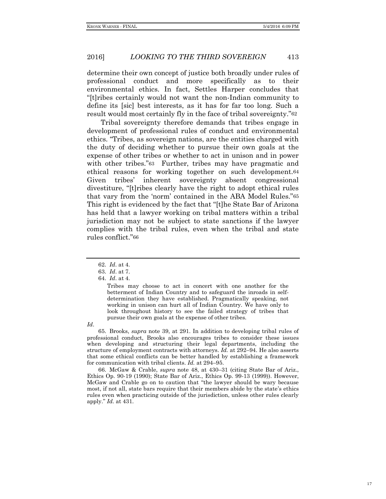determine their own concept of justice both broadly under rules of professional conduct and more specifically as to their environmental ethics. In fact, Settles Harper concludes that "[t]ribes certainly would not want the non-Indian community to define its [sic] best interests, as it has for far too long. Such a result would most certainly fly in the face of tribal sovereignty."62

Tribal sovereignty therefore demands that tribes engage in development of professional rules of conduct and environmental ethics. "Tribes, as sovereign nations, are the entities charged with the duty of deciding whether to pursue their own goals at the expense of other tribes or whether to act in unison and in power with other tribes."63 Further, tribes may have pragmatic and ethical reasons for working together on such development.64 Given tribes' inherent sovereignty absent congressional divestiture, "[t]ribes clearly have the right to adopt ethical rules that vary from the 'norm' contained in the ABA Model Rules."65 This right is evidenced by the fact that "[t]he State Bar of Arizona has held that a lawyer working on tribal matters within a tribal jurisdiction may not be subject to state sanctions if the lawyer complies with the tribal rules, even when the tribal and state rules conflict."66

*Id*.

65. Brooks, *supra* note 39, at 291. In addition to developing tribal rules of professional conduct, Brooks also encourages tribes to consider these issues when developing and structuring their legal departments, including the structure of employment contracts with attorneys. *Id.* at 292–94. He also asserts that some ethical conflicts can be better handled by establishing a framework for communication with tribal clients. *Id.* at 294–95.

66. McGaw & Crable, *supra* note 48, at 430–31 (citing State Bar of Ariz., Ethics Op. 90-19 (1990); State Bar of Ariz., Ethics Op. 99-13 (1999)). However, McGaw and Crable go on to caution that "the lawyer should be wary because most, if not all, state bars require that their members abide by the state's ethics rules even when practicing outside of the jurisdiction, unless other rules clearly apply." *Id.* at 431.

<sup>62.</sup> *Id*. at 4.

<sup>63.</sup> *Id*. at 7.

<sup>64.</sup> *Id*. at 4.

Tribes may choose to act in concert with one another for the betterment of Indian Country and to safeguard the inroads in selfdetermination they have established. Pragmatically speaking, not working in unison can hurt all of Indian Country. We have only to look throughout history to see the failed strategy of tribes that pursue their own goals at the expense of other tribes.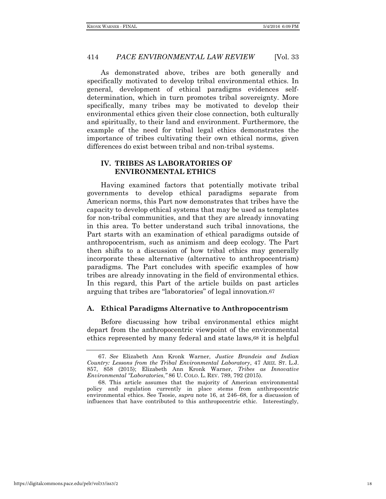As demonstrated above, tribes are both generally and specifically motivated to develop tribal environmental ethics. In general, development of ethical paradigms evidences selfdetermination, which in turn promotes tribal sovereignty. More specifically, many tribes may be motivated to develop their environmental ethics given their close connection, both culturally and spiritually, to their land and environment. Furthermore, the example of the need for tribal legal ethics demonstrates the importance of tribes cultivating their own ethical norms, given differences do exist between tribal and non-tribal systems.

## **IV. TRIBES AS LABORATORIES OF ENVIRONMENTAL ETHICS**

Having examined factors that potentially motivate tribal governments to develop ethical paradigms separate from American norms, this Part now demonstrates that tribes have the capacity to develop ethical systems that may be used as templates for non-tribal communities, and that they are already innovating in this area. To better understand such tribal innovations, the Part starts with an examination of ethical paradigms outside of anthropocentrism, such as animism and deep ecology. The Part then shifts to a discussion of how tribal ethics may generally incorporate these alternative (alternative to anthropocentrism) paradigms. The Part concludes with specific examples of how tribes are already innovating in the field of environmental ethics. In this regard, this Part of the article builds on past articles arguing that tribes are "laboratories" of legal innovation.67

#### **A. Ethical Paradigms Alternative to Anthropocentrism**

Before discussing how tribal environmental ethics might depart from the anthropocentric viewpoint of the environmental ethics represented by many federal and state laws,68 it is helpful

<sup>67.</sup> *See* Elizabeth Ann Kronk Warner, *Justice Brandeis and Indian Country: Lessons from the Tribal Environmental Laboratory*, 47 ARIZ. ST. L.J. 857, 858 (2015); Elizabeth Ann Kronk Warner, *Tribes as Innovative Environmental "Laboratories*,*"* 86 U. COLO. L. REV. 789, 792 (2015).

<sup>68.</sup> This article assumes that the majority of American environmental policy and regulation currently in place stems from anthropocentric environmental ethics. See Tsosie, *supra* note 16, at 246–68, for a discussion of influences that have contributed to this anthropocentric ethic. Interestingly,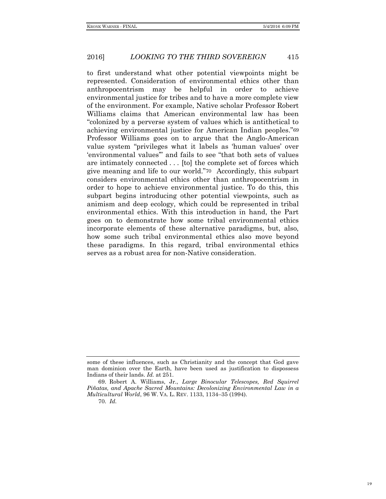to first understand what other potential viewpoints might be represented. Consideration of environmental ethics other than anthropocentrism may be helpful in order to achieve environmental justice for tribes and to have a more complete view of the environment. For example, Native scholar Professor Robert Williams claims that American environmental law has been "colonized by a perverse system of values which is antithetical to achieving environmental justice for American Indian peoples."69 Professor Williams goes on to argue that the Anglo-American value system "privileges what it labels as 'human values' over 'environmental values'" and fails to see "that both sets of values are intimately connected . . . [to] the complete set of forces which give meaning and life to our world."70 Accordingly, this subpart considers environmental ethics other than anthropocentrism in order to hope to achieve environmental justice. To do this, this subpart begins introducing other potential viewpoints, such as animism and deep ecology, which could be represented in tribal environmental ethics. With this introduction in hand, the Part goes on to demonstrate how some tribal environmental ethics incorporate elements of these alternative paradigms, but, also, how some such tribal environmental ethics also move beyond these paradigms. In this regard, tribal environmental ethics serves as a robust area for non-Native consideration.

some of these influences, such as Christianity and the concept that God gave man dominion over the Earth, have been used as justification to dispossess Indians of their lands. *Id.* at 251.

<sup>69.</sup> Robert A. Williams, Jr., *Large Binocular Telescopes, Red Squirrel Piñatas, and Apache Sacred Mountains: Decolonizing Environmental Law in a Multicultural World*, 96 W. VA. L. REV. 1133, 1134–35 (1994).

<sup>70.</sup> *Id.*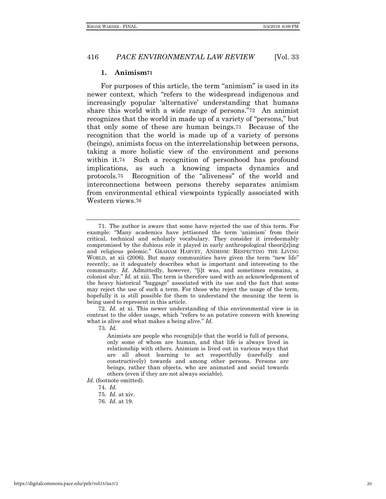#### **1. Animism71**

For purposes of this article, the term "animism" is used in its newer context, which "refers to the widespread indigenous and increasingly popular 'alternative' understanding that humans share this world with a wide range of persons."72 An animist recognizes that the world in made up of a variety of "persons," but that only some of these are human beings.73 Because of the recognition that the world is made up of a variety of persons (beings), animists focus on the interrelationship between persons, taking a more holistic view of the environment and persons within it.74 Such a recognition of personhood has profound implications, as such a knowing impacts dynamics and protocols.75 Recognition of the "aliveness" of the world and interconnections between persons thereby separates animism from environmental ethical viewpoints typically associated with Western views.76

72. *Id.* at xi. This newer understanding of this environmental view is in contrast to the older usage, which "refers to an putative concern with knowing what is alive and what makes a being alive." *Id.* 

73. *Id.* 

Animists are people who recogni[z]e that the world is full of persons, only some of whom are human, and that life is always lived in relationship with others. Animism is lived out in various ways that are all about learning to act respectfully (carefully and constructively) towards and among other persons. Persons are beings, rather than objects, who are animated and social towards others (even if they are not always sociable).

*Id.* (footnote omitted).

74. *Id.* 

<sup>71.</sup> The author is aware that some have rejected the use of this term. For example: "Many academics have jettisoned the term 'animism' from their critical, technical and scholarly vocabulary. They consider it irredeemably compromised by the dubious role it played in early anthropological theori[z]ing and religious polemic." GRAHAM HARVEY, ANIMISM: RESPECTING THE LIVING WORLD, at xii (2006). But many communities have given the term "new life" recently, as it adequately describes what is important and interesting to the community. *Id.* Admittedly, however, "[i]t was, and sometimes remains, a colonist slur." *Id.* at xiii. The term is therefore used with an acknowledgement of the heavy historical "baggage" associated with its use and the fact that some may reject the use of such a term. For those who reject the usage of the term, hopefully it is still possible for them to understand the meaning the term is being used to represent in this article.

<sup>75.</sup> *Id.* at xiv.

<sup>76.</sup> *Id.* at 19.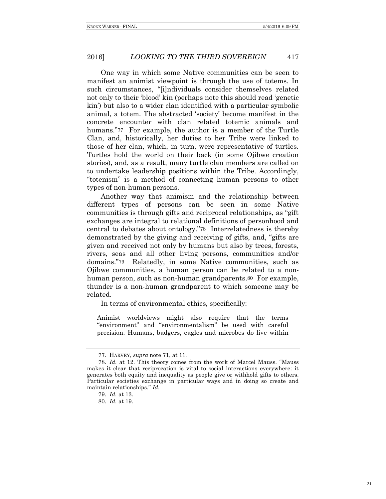One way in which some Native communities can be seen to manifest an animist viewpoint is through the use of totems. In such circumstances, "[i]ndividuals consider themselves related not only to their 'blood' kin (perhaps note this should read 'genetic kin') but also to a wider clan identified with a particular symbolic animal, a totem. The abstracted 'society' become manifest in the concrete encounter with clan related totemic animals and humans."77 For example, the author is a member of the Turtle Clan, and, historically, her duties to her Tribe were linked to those of her clan, which, in turn, were representative of turtles. Turtles hold the world on their back (in some Ojibwe creation stories), and, as a result, many turtle clan members are called on to undertake leadership positions within the Tribe. Accordingly, "totenism" is a method of connecting human persons to other types of non-human persons.

Another way that animism and the relationship between different types of persons can be seen in some Native communities is through gifts and reciprocal relationships, as "gift exchanges are integral to relational definitions of personhood and central to debates about ontology."78 Interrelatedness is thereby demonstrated by the giving and receiving of gifts, and, "gifts are given and received not only by humans but also by trees, forests, rivers, seas and all other living persons, communities and/or domains."79 Relatedly, in some Native communities, such as Ojibwe communities, a human person can be related to a nonhuman person, such as non-human grandparents.<sup>80</sup> For example, thunder is a non-human grandparent to which someone may be related.

In terms of environmental ethics, specifically:

Animist worldviews might also require that the terms "environment" and "environmentalism" be used with careful precision. Humans, badgers, eagles and microbes do live within

<sup>77.</sup> HARVEY, *supra* note 71, at 11.

<sup>78.</sup> *Id.* at 12. This theory comes from the work of Marcel Mauss. "Mauss makes it clear that reciprocation is vital to social interactions everywhere: it generates both equity and inequality as people give or withhold gifts to others. Particular societies exchange in particular ways and in doing so create and maintain relationships." *Id.* 

<sup>79.</sup> *Id.* at 13.

<sup>80.</sup> *Id.* at 19.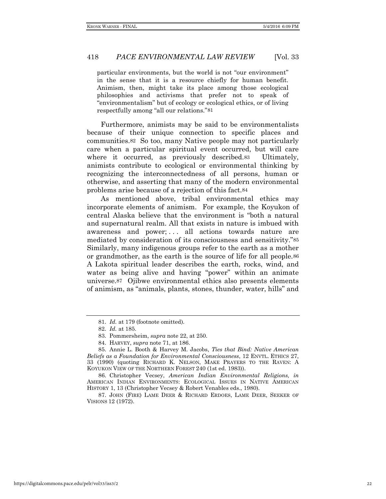particular environments, but the world is not "our environment" in the sense that it is a resource chiefly for human benefit. Animism, then, might take its place among those ecological philosophies and activisms that prefer not to speak of "environmentalism" but of ecology or ecological ethics, or of living respectfully among "all our relations."81

Furthermore, animists may be said to be environmentalists because of their unique connection to specific places and communities.82 So too, many Native people may not particularly care when a particular spiritual event occurred, but will care where it occurred, as previously described.<sup>83</sup> Ultimately, animists contribute to ecological or environmental thinking by recognizing the interconnectedness of all persons, human or otherwise, and asserting that many of the modern environmental problems arise because of a rejection of this fact.84

As mentioned above, tribal environmental ethics may incorporate elements of animism. For example, the Koyukon of central Alaska believe that the environment is "both a natural and supernatural realm. All that exists in nature is imbued with awareness and power; ... all actions towards nature are mediated by consideration of its consciousness and sensitivity."85 Similarly, many indigenous groups refer to the earth as a mother or grandmother, as the earth is the source of life for all people.86 A Lakota spiritual leader describes the earth, rocks, wind, and water as being alive and having "power" within an animate universe.87 Ojibwe environmental ethics also presents elements of animism, as "animals, plants, stones, thunder, water, hills" and

84. HARVEY, *supra* note 71, at 186.

87. JOHN (FIRE) LAME DEER & RICHARD ERDOES, LAME DEER, SEEKER OF VISIONS 12 (1972).

<sup>81.</sup> *Id.* at 179 (footnote omitted).

<sup>82.</sup> *Id.* at 185.

<sup>83.</sup> Pommersheim, *supra* note 22, at 250.

<sup>85.</sup> Annie L. Booth & Harvey M. Jacobs, *Ties that Bind: Native American Beliefs as a Foundation for Environmental Consciousness*, 12 ENVTL. ETHICS 27, 33 (1990) (quoting RICHARD K. NELSON, MAKE PRAYERS TO THE RAVEN: A KOYUKON VIEW OF THE NORTHERN FOREST 240 (1st ed. 1983)).

<sup>86.</sup> Christopher Vecsey, *American Indian Environmental Religions, in* AMERICAN INDIAN ENVIRONMENTS: ECOLOGICAL ISSUES IN NATIVE AMERICAN HISTORY 1, 13 (Christopher Vecsey & Robert Venables eds., 1980).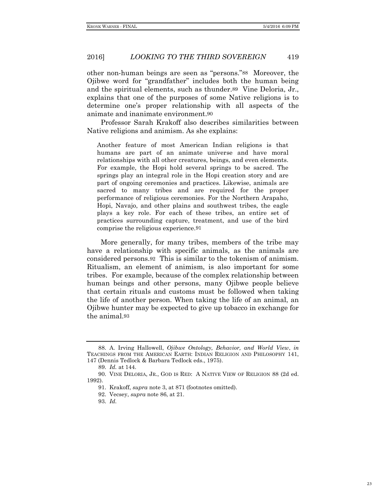other non-human beings are seen as "persons."88 Moreover, the Ojibwe word for "grandfather" includes both the human being and the spiritual elements, such as thunder.89 Vine Deloria, Jr., explains that one of the purposes of some Native religions is to determine one's proper relationship with all aspects of the animate and inanimate environment.90

Professor Sarah Krakoff also describes similarities between Native religions and animism. As she explains:

Another feature of most American Indian religions is that humans are part of an animate universe and have moral relationships with all other creatures, beings, and even elements. For example, the Hopi hold several springs to be sacred. The springs play an integral role in the Hopi creation story and are part of ongoing ceremonies and practices. Likewise, animals are sacred to many tribes and are required for the proper performance of religious ceremonies. For the Northern Arapaho, Hopi, Navajo, and other plains and southwest tribes, the eagle plays a key role. For each of these tribes, an entire set of practices surrounding capture, treatment, and use of the bird comprise the religious experience.91

More generally, for many tribes, members of the tribe may have a relationship with specific animals, as the animals are considered persons.92 This is similar to the tokenism of animism. Ritualism, an element of animism, is also important for some tribes. For example, because of the complex relationship between human beings and other persons, many Ojibwe people believe that certain rituals and customs must be followed when taking the life of another person. When taking the life of an animal, an Ojibwe hunter may be expected to give up tobacco in exchange for the animal.93

<sup>88.</sup> A. Irving Hallowell, *Ojibwe Ontology, Behavior, and World View*, *in* TEACHINGS FROM THE AMERICAN EARTH: INDIAN RELIGION AND PHILOSOPHY 141, 147 (Dennis Tedlock & Barbara Tedlock eds., 1975).

<sup>89.</sup> *Id.* at 144.

<sup>90.</sup> VINE DELORIA, JR., GOD IS RED: A NATIVE VIEW OF RELIGION 88 (2d ed. 1992).

<sup>91.</sup> Krakoff, *supra* note 3, at 871 (footnotes omitted).

<sup>92.</sup> Vecsey, *supra* note 86, at 21.

<sup>93.</sup> *Id.*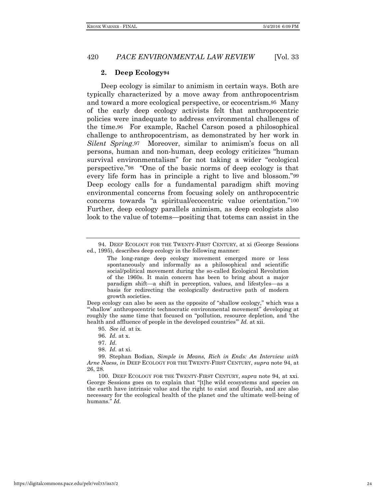#### **2. Deep Ecology94**

Deep ecology is similar to animism in certain ways. Both are typically characterized by a move away from anthropocentrism and toward a more ecological perspective, or ecocentrism.95 Many of the early deep ecology activists felt that anthropocentric policies were inadequate to address environmental challenges of the time.96 For example, Rachel Carson posed a philosophical challenge to anthropocentrism, as demonstrated by her work in *Silent Spring*.97 Moreover, similar to animism's focus on all persons, human and non-human, deep ecology criticizes "human survival environmentalism" for not taking a wider "ecological perspective."98 "One of the basic norms of deep ecology is that every life form has in principle a right to live and blossom."99 Deep ecology calls for a fundamental paradigm shift moving environmental concerns from focusing solely on anthropocentric concerns towards "a spiritual/ecocentric value orientation."100 Further, deep ecology parallels animism, as deep ecologists also look to the value of totems—positing that totems can assist in the

95. *See id.* at ix.

100. DEEP ECOLOGY FOR THE TWENTY-FIRST CENTURY, *supra* note 94, at xxi. George Sessions goes on to explain that "[t]he wild ecosystems and species on the earth have intrinsic value and the right to exist and flourish, and are also necessary for the ecological health of the planet *and* the ultimate well-being of humans." *Id.* 

<sup>94.</sup> DEEP ECOLOGY FOR THE TWENTY-FIRST CENTURY, at xi (George Sessions ed., 1995), describes deep ecology in the following manner:

The long-range deep ecology movement emerged more or less spontaneously and informally as a philosophical and scientific social/political movement during the so-called Ecological Revolution of the 1960s. It main concern has been to bring about a major paradigm shift—a shift in perception, values, and lifestyles—as a basis for redirecting the ecologically destructive path of modern growth societies.

Deep ecology can also be seen as the opposite of "shallow ecology," which was a "'shallow' anthropocentric technocratic environmental movement" developing at roughly the same time that focused on "pollution, resource depletion, and 'the health and affluence of people in the developed countries'" *Id.* at xii.

<sup>96.</sup> *Id.* at x.

<sup>97.</sup> *Id.* 

<sup>98.</sup> *Id.* at xi.

<sup>99.</sup> Stephan Bodian, *Simple in Means, Rich in Ends: An Interview with Arne Naess*, *in* DEEP ECOLOGY FOR THE TWENTY-FIRST CENTURY, *supra* note 94, at 26, 28.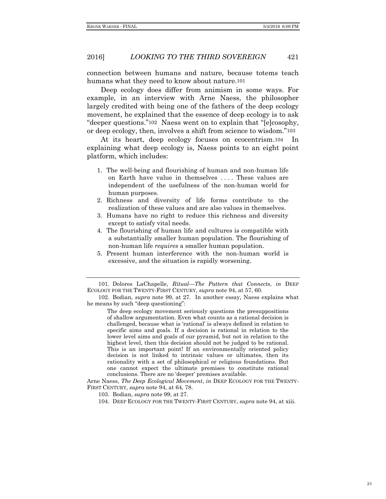connection between humans and nature, because totems teach humans what they need to know about nature.101

Deep ecology does differ from animism in some ways. For example, in an interview with Arne Naess, the philosopher largely credited with being one of the fathers of the deep ecology movement, he explained that the essence of deep ecology is to ask "deeper questions."102 Naess went on to explain that "[e]cosophy, or deep ecology, then, involves a shift from science to wisdom."103

At its heart, deep ecology focuses on ecocentrism.104 In explaining what deep ecology is, Naess points to an eight point platform, which includes:

- 1. The well-being and flourishing of human and non-human life on Earth have value in themselves . . . . These values are independent of the usefulness of the non-human world for human purposes.
- 2. Richness and diversity of life forms contribute to the realization of these values and are also values in themselves.
- 3. Humans have no right to reduce this richness and diversity except to satisfy vital needs.
- 4. The flourishing of human life and cultures is compatible with a substantially smaller human population. The flourishing of non-human life *requires* a smaller human population.
- 5. Present human interference with the non-human world is excessive, and the situation is rapidly worsening.

The deep ecology movement seriously questions the presuppositions of shallow argumentation. Even what counts as a rational decision is challenged, because what is 'rational' is always defined in relation to specific aims and goals. If a decision is rational in relation to the lower level aims and goals of our pyramid, but not in relation to the highest level, then this decision should not be judged to be rational. This is an important point! If an environmentally oriented policy decision is not linked to intrinsic values or ultimates, then its rationality with a set of philosophical or religious foundations. But one cannot expect the ultimate premises to constitute rational conclusions. There are no 'deeper' premises available.

Arne Naess, *The Deep Ecological Movement*, *in* DEEP ECOLOGY FOR THE TWENTY-FIRST CENTURY, *supra* note 94, at 64, 78.

103. Bodian, *supra* note 99, at 27.

104. DEEP ECOLOGY FOR THE TWENTY-FIRST CENTURY, *supra* note 94, at xiii.

<sup>101.</sup> Dolores LaChapelle, *Ritual—The Pattern that Connects*, *in* DEEP ECOLOGY FOR THE TWENTY-FIRST CENTURY, *supra* note 94, at 57, 60.

<sup>102.</sup> Bodian, *supra* note 99, at 27. In another essay, Naess explains what he means by such "deep questioning":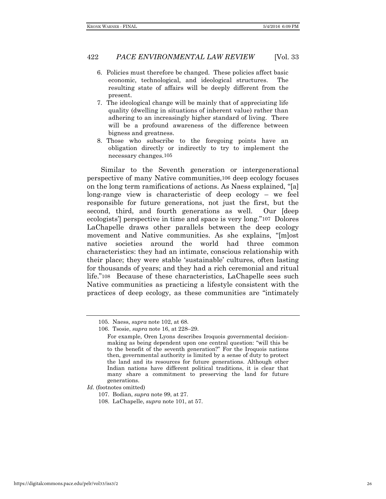- 6. Policies must therefore be changed. These policies affect basic economic, technological, and ideological structures. The resulting state of affairs will be deeply different from the present.
- 7. The ideological change will be mainly that of appreciating life quality (dwelling in situations of inherent value) rather than adhering to an increasingly higher standard of living. There will be a profound awareness of the difference between bigness and greatness.
- 8. Those who subscribe to the foregoing points have an obligation directly or indirectly to try to implement the necessary changes.105

Similar to the Seventh generation or intergenerational perspective of many Native communities,106 deep ecology focuses on the long term ramifications of actions. As Naess explained, "[a] long-range view is characteristic of deep ecology – we feel responsible for future generations, not just the first, but the second, third, and fourth generations as well. Our [deep ecologists'] perspective in time and space is very long."107 Dolores LaChapelle draws other parallels between the deep ecology movement and Native communities. As she explains, "[m]ost native societies around the world had three common characteristics: they had an intimate, conscious relationship with their place; they were stable 'sustainable' cultures, often lasting for thousands of years; and they had a rich ceremonial and ritual life."108 Because of these characteristics, LaChapelle sees such Native communities as practicing a lifestyle consistent with the practices of deep ecology, as these communities are "intimately

<sup>105.</sup> Naess, *supra* note 102, at 68.

<sup>106.</sup> Tsosie, *supra* note 16, at 228–29.

For example, Oren Lyons describes Iroquois governmental decisionmaking as being dependent upon one central question: "will this be to the benefit of the seventh generation?" For the Iroquois nations then, governmental authority is limited by a sense of duty to protect the land and its resources for future generations. Although other Indian nations have different political traditions, it is clear that many share a commitment to preserving the land for future generations.

*Id.* (footnotes omitted)

<sup>107.</sup> Bodian, *supra* note 99, at 27.

<sup>108.</sup> LaChapelle, *supra* note 101, at 57.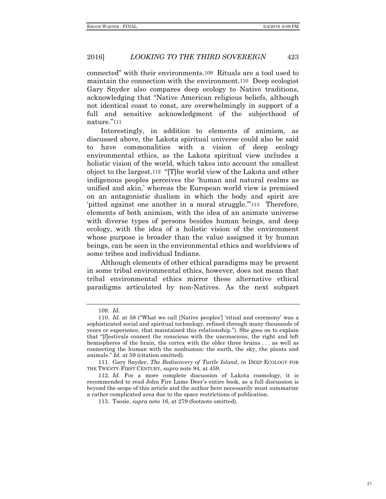connected" with their environments.109 Rituals are a tool used to maintain the connection with the environment.110 Deep ecologist Gary Snyder also compares deep ecology to Native traditions, acknowledging that "Native American religious beliefs, although not identical coast to coast, are overwhelmingly in support of a full and sensitive acknowledgment of the subjecthood of nature."111

Interestingly, in addition to elements of animism, as discussed above, the Lakota spiritual universe could also be said to have commonalities with a vision of deep ecology environmental ethics, as the Lakota spiritual view includes a holistic vision of the world, which takes into account the smallest object to the largest.112 "[T]he world view of the Lakota and other indigenous peoples perceives the 'human and natural realms as unified and akin,' whereas the European world view is premised on an antagonistic dualism in which the body and spirit are 'pitted against one another in a moral struggle.'"113 Therefore, elements of both animism, with the idea of an animate universe with diverse types of persons besides human beings, and deep ecology, with the idea of a holistic vision of the environment whose purpose is broader than the value assigned it by human beings, can be seen in the environmental ethics and worldviews of some tribes and individual Indians.

Although elements of other ethical paradigms may be present in some tribal environmental ethics, however, does not mean that tribal environmental ethics mirror these alternative ethical paradigms articulated by non-Natives. As the next subpart

<sup>109.</sup> *Id.*

<sup>110.</sup> *Id.* at 58 ("What we call [Native peoples'] 'ritual and ceremony' was a sophisticated social and spiritual technology, refined through many thousands of years or experience, that maintained this relationship."). She goes on to explain that "[f]estivals connect the conscious with the unconscious, the right and left hemispheres of the brain, the cortex with the older three brains . . . as well as connecting the human with the nonhuman: the earth, the sky, the plants and animals." *Id.* at 59 (citation omitted).

<sup>111.</sup> Gary Snyder, *The Rediscovery of Turtle Island*, *in* DEEP ECOLOGY FOR THE TWENTY-FIRST CENTURY, *supra* note 94, at 459.

<sup>112.</sup> *Id.* For a more complete discussion of Lakota cosmology, it is recommended to read John Fire Lame Deer's entire book, as a full discussion is beyond the scope of this article and the author here necessarily must summarize a rather complicated area due to the space restrictions of publication.

<sup>113.</sup> Tsosie, *supra* note 16, at 279 (footnote omitted).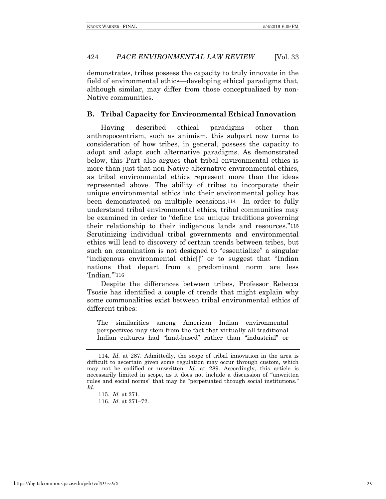demonstrates, tribes possess the capacity to truly innovate in the field of environmental ethics—developing ethical paradigms that, although similar, may differ from those conceptualized by non-Native communities.

## **B. Tribal Capacity for Environmental Ethical Innovation**

Having described ethical paradigms other than anthropocentrism, such as animism, this subpart now turns to consideration of how tribes, in general, possess the capacity to adopt and adapt such alternative paradigms. As demonstrated below, this Part also argues that tribal environmental ethics is more than just that non-Native alternative environmental ethics, as tribal environmental ethics represent more than the ideas represented above. The ability of tribes to incorporate their unique environmental ethics into their environmental policy has been demonstrated on multiple occasions.114 In order to fully understand tribal environmental ethics, tribal communities may be examined in order to "define the unique traditions governing their relationship to their indigenous lands and resources."115 Scrutinizing individual tribal governments and environmental ethics will lead to discovery of certain trends between tribes, but such an examination is not designed to "essentialize" a singular "indigenous environmental ethic[]" or to suggest that "Indian nations that depart from a predominant norm are less 'Indian.'"116

Despite the differences between tribes, Professor Rebecca Tsosie has identified a couple of trends that might explain why some commonalities exist between tribal environmental ethics of different tribes:

The similarities among American Indian environmental perspectives may stem from the fact that virtually all traditional Indian cultures had "land-based" rather than "industrial" or

<sup>114.</sup> *Id.* at 287. Admittedly, the scope of tribal innovation in the area is difficult to ascertain given some regulation may occur through custom, which may not be codified or unwritten. *Id.* at 289. Accordingly, this article is necessarily limited in scope, as it does not include a discussion of "unwritten rules and social norms" that may be "perpetuated through social institutions." *Id.*

<sup>115.</sup> *Id.* at 271.

<sup>116.</sup> *Id.* at 271–72.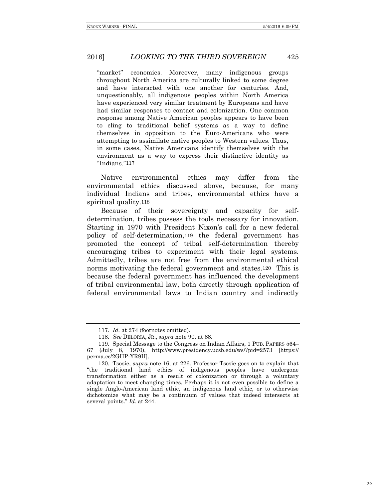"market" economies. Moreover, many indigenous groups throughout North America are culturally linked to some degree and have interacted with one another for centuries. And, unquestionably, all indigenous peoples within North America have experienced very similar treatment by Europeans and have had similar responses to contact and colonization. One common response among Native American peoples appears to have been to cling to traditional belief systems as a way to define themselves in opposition to the Euro-Americans who were attempting to assimilate native peoples to Western values. Thus, in some cases, Native Americans identify themselves with the environment as a way to express their distinctive identity as "Indians."117

Native environmental ethics may differ from the environmental ethics discussed above, because, for many individual Indians and tribes, environmental ethics have a spiritual quality.118

Because of their sovereignty and capacity for selfdetermination, tribes possess the tools necessary for innovation. Starting in 1970 with President Nixon's call for a new federal policy of self-determination,119 the federal government has promoted the concept of tribal self-determination thereby encouraging tribes to experiment with their legal systems. Admittedly, tribes are not free from the environmental ethical norms motivating the federal government and states.120 This is because the federal government has influenced the development of tribal environmental law, both directly through application of federal environmental laws to Indian country and indirectly

<sup>117.</sup> *Id.* at 274 (footnotes omitted).

<sup>118.</sup> *See* DELORIA, JR., *supra* note 90, at 88.

<sup>119.</sup> Special Message to the Congress on Indian Affairs, 1 PUB. PAPERS 564– 67 (July 8, 1970), http://www.presidency.ucsb.edu/ws/?pid=2573 [https:// perma.cc/2GHP-YR9H].

<sup>120.</sup> Tsosie, *supra* note 16, at 226. Professor Tsosie goes on to explain that "the traditional land ethics of indigenous peoples have undergone transformation either as a result of colonization or through a voluntary adaptation to meet changing times. Perhaps it is not even possible to define a single Anglo-American land ethic, an indigenous land ethic, or to otherwise dichotomize what may be a continuum of values that indeed intersects at several points." *Id.* at 244.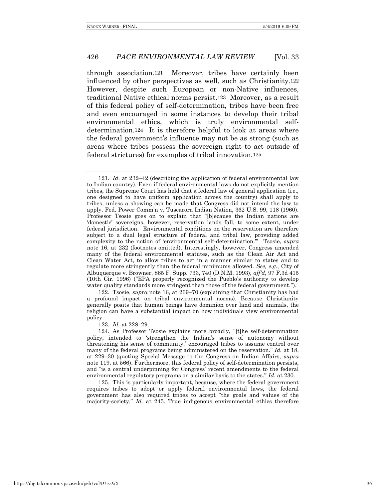through association.121 Moreover, tribes have certainly been influenced by other perspectives as well, such as Christianity.122 However, despite such European or non-Native influences, traditional Native ethical norms persist.123 Moreover, as a result of this federal policy of self-determination, tribes have been free and even encouraged in some instances to develop their tribal environmental ethics, which is truly environmental selfdetermination.124 It is therefore helpful to look at areas where the federal government's influence may not be as strong (such as areas where tribes possess the sovereign right to act outside of federal strictures) for examples of tribal innovation.125

122. Tsosie, *supra* note 16, at 269–70 (explaining that Christianity has had a profound impact on tribal environmental norms). Because Christianity generally posits that human beings have dominion over land and animals, the religion can have a substantial impact on how individuals view environmental policy.

123. *Id.* at 228–29.

124. As Professor Tsosie explains more broadly, "[t]he self-determination policy, intended to 'strengthen the Indian's sense of autonomy without threatening his sense of community,' encouraged tribes to assume control over many of the federal programs being administered on the reservation." *Id.* at 18, at 229–30 (quoting Special Message to the Congress on Indian Affairs, *supra* note 119, at 566). Furthermore, this federal policy of self-determination persists, and "is a central underpinning for Congress' recent amendments to the federal environmental regulatory programs on a similar basis to the states." *Id.* at 230.

125. This is particularly important, because, where the federal government requires tribes to adopt or apply federal environmental laws, the federal government has also required tribes to accept "the goals and values of the majority-society." *Id.* at 245. True indigenous environmental ethics therefore

<sup>121.</sup> *Id.* at 232–42 (describing the application of federal environmental law to Indian country). Even if federal environmental laws do not explicitly mention tribes, the Supreme Court has held that a federal law of general application (i.e., one designed to have uniform application across the country) shall apply to tribes, unless a showing can be made that Congress did not intend the law to apply. Fed. Power Comm'n v. Tuscarora Indian Nation, 362 U.S. 99, 118 (1960). Professor Tsosie goes on to explain that "[b]ecause the Indian nations are 'domestic' sovereigns, however, reservation lands fall, to some extent, under federal jurisdiction. Environmental conditions on the reservation are therefore subject to a dual legal structure of federal and tribal law, providing added complexity to the notion of 'environmental self-determination.'" Tsosie, *supra* note 16, at 232 (footnotes omitted). Interestingly, however, Congress amended many of the federal environmental statutes, such as the Clean Air Act and Clean Water Act, to allow tribes to act in a manner similar to states and to regulate more stringently than the federal minimums allowed. *See, e.g.*, City of Albuquerque v. Browner, 865 F. Supp. 733, 740 (D.N.M. 1993), *aff'd*, 97 F.3d 415 (10th Cir. 1996) ("EPA properly recognized the Pueblo's authority to develop water quality standards more stringent than those of the federal government.").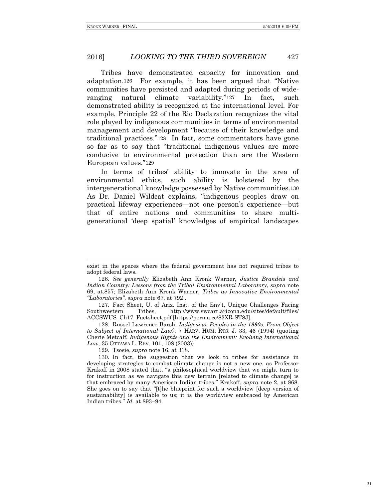Tribes have demonstrated capacity for innovation and adaptation.126 For example, it has been argued that "Native communities have persisted and adapted during periods of wideranging natural climate variability."127 In fact, such demonstrated ability is recognized at the international level. For example, Principle 22 of the Rio Declaration recognizes the vital role played by indigenous communities in terms of environmental management and development "because of their knowledge and traditional practices."128 In fact, some commentators have gone so far as to say that "traditional indigenous values are more conducive to environmental protection than are the Western European values."129

In terms of tribes' ability to innovate in the area of environmental ethics, such ability is bolstered by the intergenerational knowledge possessed by Native communities.130 As Dr. Daniel Wildcat explains, "indigenous peoples draw on practical lifeway experiences—not one person's experience—but that of entire nations and communities to share multigenerational 'deep spatial' knowledges of empirical landscapes

128. Russel Lawrence Barsh, *Indigenous Peoples in the 1990s: From Object to Subject of International Law?*, 7 HARV. HUM. RTS. J. 33, 46 (1994) (quoting Cherie Metcalf, *Indigenous Rights and the Environment: Evolving International Law,* 35 OTTAWA L. REV. 101, 108 (2003))

129. Tsosie, *supra* note 16, at 318.

exist in the spaces where the federal government has not required tribes to adopt federal laws.

<sup>126.</sup> *See generally* Elizabeth Ann Kronk Warner, *Justice Brandeis and Indian Country: Lessons from the Tribal Environmental Laboratory*, *supra* note 69, at.857; Elizabeth Ann Kronk Warner, *Tribes as Innovative Environmental "Laboratories"*, *supra* note 67, at 792 .

<sup>127.</sup> Fact Sheet, U. of Ariz. Inst. of the Env't, Unique Challenges Facing Southwestern Tribes, http://www.swcarr.arizona.edu/sites/default/files/ ACCSWUS\_Ch17\_Factsheet.pdf [https://perma.cc/83XR-ST8J].

<sup>130.</sup> In fact, the suggestion that we look to tribes for assistance in developing strategies to combat climate change is not a new one, as Professor Krakoff in 2008 stated that, "a philosophical worldview that we might turn to for instruction as we navigate this new terrain [related to climate change] is that embraced by many American Indian tribes." Krakoff, *supra* note 2, at 868. She goes on to say that "[t]he blueprint for such a worldview [deep version of sustainability] is available to us; it is the worldview embraced by American Indian tribes." *Id.* at 893–94.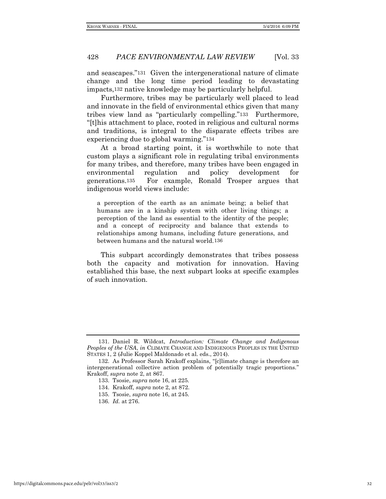and seascapes."131 Given the intergenerational nature of climate change and the long time period leading to devastating impacts,132 native knowledge may be particularly helpful.

Furthermore, tribes may be particularly well placed to lead and innovate in the field of environmental ethics given that many tribes view land as "particularly compelling."133 Furthermore, "[t]his attachment to place, rooted in religious and cultural norms and traditions, is integral to the disparate effects tribes are experiencing due to global warming."134

At a broad starting point, it is worthwhile to note that custom plays a significant role in regulating tribal environments for many tribes, and therefore, many tribes have been engaged in environmental regulation and policy development for generations.135 For example, Ronald Trosper argues that indigenous world views include:

a perception of the earth as an animate being; a belief that humans are in a kinship system with other living things; a perception of the land as essential to the identity of the people; and a concept of reciprocity and balance that extends to relationships among humans, including future generations, and between humans and the natural world.136

This subpart accordingly demonstrates that tribes possess both the capacity and motivation for innovation. Having established this base, the next subpart looks at specific examples of such innovation.

<sup>131.</sup> Daniel R. Wildcat, *Introduction: Climate Change and Indigenous Peoples of the USA*, *in* CLIMATE CHANGE AND INDIGENOUS PEOPLES IN THE UNITED STATES 1, 2 (Julie Koppel Maldonado et al. eds., 2014).

<sup>132.</sup> As Professor Sarah Krakoff explains, "[c]limate change is therefore an intergenerational collective action problem of potentially tragic proportions." Krakoff, *supra* note 2, at 867.

<sup>133.</sup> Tsosie, *supra* note 16, at 225.

<sup>134.</sup> Krakoff, *supra* note 2, at 872.

<sup>135.</sup> Tsosie, *supra* note 16, at 245.

<sup>136.</sup> *Id.* at 276.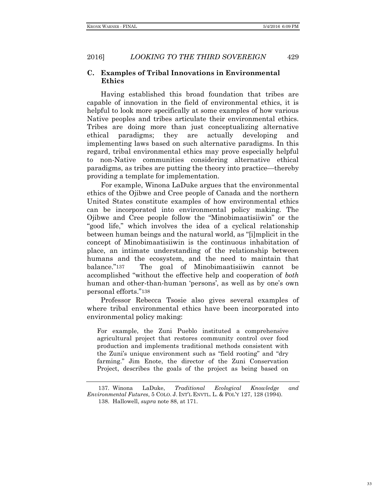## **C. Examples of Tribal Innovations in Environmental Ethics**

Having established this broad foundation that tribes are capable of innovation in the field of environmental ethics, it is helpful to look more specifically at some examples of how various Native peoples and tribes articulate their environmental ethics. Tribes are doing more than just conceptualizing alternative ethical paradigms; they are actually developing and implementing laws based on such alternative paradigms. In this regard, tribal environmental ethics may prove especially helpful to non-Native communities considering alternative ethical paradigms, as tribes are putting the theory into practice—thereby providing a template for implementation.

For example, Winona LaDuke argues that the environmental ethics of the Ojibwe and Cree people of Canada and the northern United States constitute examples of how environmental ethics can be incorporated into environmental policy making. The Ojibwe and Cree people follow the "Minobimaatisiiwin" or the "good life," which involves the idea of a cyclical relationship between human beings and the natural world, as "[i]mplicit in the concept of Minobimaatisiiwin is the continuous inhabitation of place, an intimate understanding of the relationship between humans and the ecosystem, and the need to maintain that balance."137 The goal of Minobimaatisiiwin cannot be accomplished "without the effective help and cooperation of *both*  human and other-than-human 'persons', as well as by one's own personal efforts."138

Professor Rebecca Tsosie also gives several examples of where tribal environmental ethics have been incorporated into environmental policy making:

For example, the Zuni Pueblo instituted a comprehensive agricultural project that restores community control over food production and implements traditional methods consistent with the Zuni's unique environment such as "field rooting" and "dry farming." Jim Enote, the director of the Zuni Conservation Project, describes the goals of the project as being based on

33

<sup>137.</sup> Winona LaDuke, *Traditional Ecological Knowledge and Environmental Futures*, 5 COLO. J. INT'L ENVTL. L. & POL'Y 127, 128 (1994).

<sup>138.</sup> Hallowell, *supra* note 88, at 171.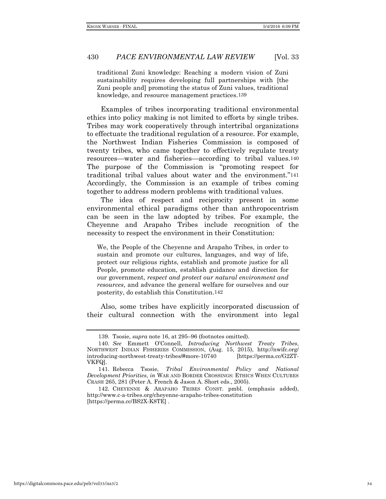traditional Zuni knowledge: Reaching a modern vision of Zuni sustainability requires developing full partnerships with [the Zuni people and] promoting the status of Zuni values, traditional knowledge, and resource management practices.139

Examples of tribes incorporating traditional environmental ethics into policy making is not limited to efforts by single tribes. Tribes may work cooperatively through intertribal organizations to effectuate the traditional regulation of a resource. For example, the Northwest Indian Fisheries Commission is composed of twenty tribes, who came together to effectively regulate treaty resources—water and fisheries—according to tribal values.140 The purpose of the Commission is "promoting respect for traditional tribal values about water and the environment."141 Accordingly, the Commission is an example of tribes coming together to address modern problems with traditional values.

The idea of respect and reciprocity present in some environmental ethical paradigms other than anthropocentrism can be seen in the law adopted by tribes. For example, the Cheyenne and Arapaho Tribes include recognition of the necessity to respect the environment in their Constitution:

We, the People of the Cheyenne and Arapaho Tribes, in order to sustain and promote our cultures, languages, and way of life, protect our religious rights, establish and promote justice for all People, promote education, establish guidance and direction for our government, *respect and protect our natural environment and resources*, and advance the general welfare for ourselves and our posterity, do establish this Constitution.142

Also, some tribes have explicitly incorporated discussion of their cultural connection with the environment into legal

<sup>139.</sup> Tsosie, *supra* note 16, at 295–96 (footnotes omitted).

<sup>140.</sup> *See* Emmett O'Connell, *Introducing Northwest Treaty Tribes*, NORTHWEST INDIAN FISHERIES COMMISSION, (Aug. 15, 2015), http://nwifc.org/ introducing-northwest-treaty-tribes/#more-10740 [https://perma.cc/G2ZT-VKFQ].

<sup>141.</sup> Rebecca Tsosie, *Tribal Environmental Policy and National Development Priorities*, *in* WAR AND BORDER CROSSINGS: ETHICS WHEN CULTURES CRASH 265, 281 (Peter A. French & Jason A. Short eds., 2005).

<sup>142.</sup> CHEYENNE & ARAPAHO TRIBES CONST. pmbl. (emphasis added), http://www.c-a-tribes.org/cheyenne-arapaho-tribes-constitution [https://perma.cc/BS2X-K8TE] .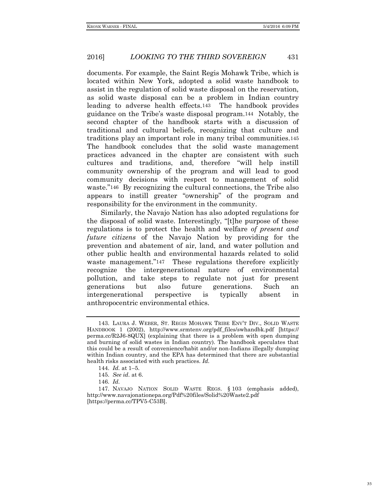documents. For example, the Saint Regis Mohawk Tribe, which is located within New York, adopted a solid waste handbook to assist in the regulation of solid waste disposal on the reservation, as solid waste disposal can be a problem in Indian country leading to adverse health effects.143 The handbook provides guidance on the Tribe's waste disposal program.144 Notably, the second chapter of the handbook starts with a discussion of traditional and cultural beliefs, recognizing that culture and traditions play an important role in many tribal communities.145 The handbook concludes that the solid waste management practices advanced in the chapter are consistent with such cultures and traditions, and, therefore "will help instill community ownership of the program and will lead to good community decisions with respect to management of solid waste."146 By recognizing the cultural connections, the Tribe also appears to instill greater "ownership" of the program and responsibility for the environment in the community.

Similarly, the Navajo Nation has also adopted regulations for the disposal of solid waste. Interestingly, "[t]he purpose of these regulations is to protect the health and welfare *of present and future citizens* of the Navajo Nation by providing for the prevention and abatement of air, land, and water pollution and other public health and environmental hazards related to solid waste management."<sup>147</sup> These regulations therefore explicitly recognize the intergenerational nature of environmental pollution, and take steps to regulate not just for present generations but also future generations. Such an intergenerational perspective is typically absent in anthropocentric environmental ethics.

<sup>143.</sup> LAURA J. WEBER, ST. REGIS MOHAWK TRIBE ENV'T DIV., SOLID WASTE HANDBOOK 1 (2002), http://www.srmtenv.org/pdf\_files/swhandbk.pdf [https:// perma.cc/R2J6-8QUX] (explaining that there is a problem with open dumping and burning of solid wastes in Indian country). The handbook speculates that this could be a result of convenience/habit and/or non-Indians illegally dumping within Indian country, and the EPA has determined that there are substantial health risks associated with such practices. *Id.*

<sup>144.</sup> *Id.* at 1–5.

<sup>145.</sup> *See id.* at 6.

<sup>146.</sup> *Id.* 

<sup>147.</sup> NAVAJO NATION SOLID WASTE REGS. § 103 (emphasis added), http://www.navajonationepa.org/Pdf%20files/Solid%20Waste2.pdf [https://perma.cc/TPV5-C53B].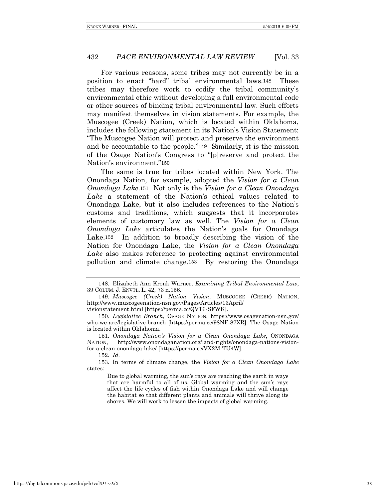For various reasons, some tribes may not currently be in a position to enact "hard" tribal environmental laws.148 These tribes may therefore work to codify the tribal community's environmental ethic without developing a full environmental code or other sources of binding tribal environmental law. Such efforts may manifest themselves in vision statements. For example, the Muscogee (Creek) Nation, which is located within Oklahoma, includes the following statement in its Nation's Vision Statement: "The Muscogee Nation will protect and preserve the environment and be accountable to the people."149 Similarly, it is the mission of the Osage Nation's Congress to "[p]reserve and protect the Nation's environment."150

The same is true for tribes located within New York. The Onondaga Nation, for example, adopted the *Vision for a Clean Onondaga Lake*.151 Not only is the *Vision for a Clean Onondaga Lake* a statement of the Nation's ethical values related to Onondaga Lake, but it also includes references to the Nation's customs and traditions, which suggests that it incorporates elements of customary law as well. The *Vision for a Clean Onondaga Lake* articulates the Nation's goals for Onondaga Lake.152 In addition to broadly describing the vision of the Nation for Onondaga Lake, the *Vision for a Clean Onondaga Lake* also makes reference to protecting against environmental pollution and climate change.153 By restoring the Onondaga

152. *Id.* 

<sup>148.</sup> Elizabeth Ann Kronk Warner, *Examining Tribal Environmental Law*, 39 COLUM. J. ENVTL. L. 42, 73 n.156.

<sup>149.</sup> *Muscogee (Creek) Nation Vision*, MUSCOGEE (CREEK) NATION, http://www.muscogeenation-nsn.gov/Pages/Articles/13April/ visionstatement.html [https://perma.cc/QVT6-SFWK].

<sup>150.</sup> *Legislative Branch*, OSAGE NATION, https://www.osagenation-nsn.gov/ who-we-are/legislative-branch [https://perma.cc/98NF-87XR]. The Osage Nation is located within Oklahoma.

<sup>151.</sup> *Onondaga Nation's Vision for a Clean Onondaga Lake*, ONONDAGA NATION, http://www.onondaganation.org/land-rights/onondaga-nations-visionfor-a-clean-onondaga-lake/ [https://perma.cc/VX2M-TU4W].

<sup>153.</sup> In terms of climate change, the *Vision for a Clean Onondaga Lake*  states:

Due to global warming, the sun's rays are reaching the earth in ways that are harmful to all of us. Global warming and the sun's rays affect the life cycles of fish within Onondaga Lake and will change the habitat so that different plants and animals will thrive along its shores. We will work to lessen the impacts of global warming.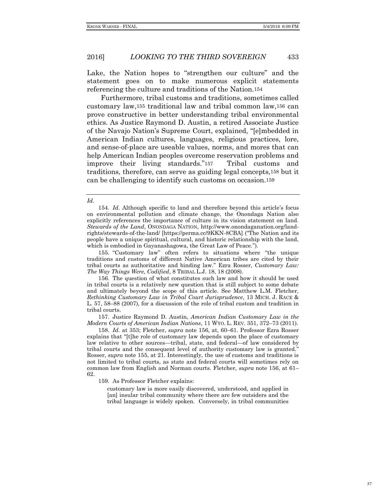Lake, the Nation hopes to "strengthen our culture" and the statement goes on to make numerous explicit statements referencing the culture and traditions of the Nation.154

Furthermore, tribal customs and traditions, sometimes called customary law,155 traditional law and tribal common law,156 can prove constructive in better understanding tribal environmental ethics. As Justice Raymond D. Austin, a retired Associate Justice of the Navajo Nation's Supreme Court, explained, "[e]mbedded in American Indian cultures, languages, religious practices, lore, and sense-of-place are useable values, norms, and mores that can help American Indian peoples overcome reservation problems and improve their living standards."157 Tribal customs and traditions, therefore, can serve as guiding legal concepts,158 but it can be challenging to identify such customs on occasion.159

#### *Id.*

155. "Customary law" often refers to situations where "the unique traditions and customs of different Native American tribes are cited by their tribal courts as authoritative and binding law." Ezra Rosser, *Customary Law: The Way Things Were, Codified*, 8 TRIBAL L.J. 18, 18 (2008).

157. Justice Raymond D. Austin, *American Indian Customary Law in the Modern Courts of American Indian Nations*, 11 WYO. L. REV. 351, 372–73 (2011).

158. *Id.* at 353; Fletcher, *supra* note 156, at, 60–61. Professor Ezra Rosser explains that "[t]he role of customary law depends upon the place of customary law relative to other sources—tribal, state, and federal—of law considered by tribal courts and the consequent level of authority customary law is granted." Rosser, *supra* note 155, at 21. Interestingly, the use of customs and traditions is not limited to tribal courts, as state and federal courts will sometimes rely on common law from English and Norman courts. Fletcher, *supra* note 156, at 61– 62.

159. As Professor Fletcher explains:

customary law is more easily discovered, understood, and applied in [an] insular tribal community where there are few outsiders and the tribal language is widely spoken. Conversely, in tribal communities

<sup>154.</sup> *Id.* Although specific to land and therefore beyond this article's focus on environmental pollution and climate change, the Onondaga Nation also explicitly references the importance of culture in its vision statement on land. *Stewards of the Land*, ONONDAGA NATION, http://www.onondaganation.org/landrights/stewards-of-the-land/ [https://perma.cc/9KKN-8CBA] ("The Nation and its people have a unique spiritual, cultural, and historic relationship with the land, which is embodied in Gayanashagowa, the Great Law of Peace.").

<sup>156.</sup> The question of what constitutes such law and how it should be used in tribal courts is a relatively new question that is still subject to some debate and ultimately beyond the scope of this article. See Matthew L.M. Fletcher, *Rethinking Customary Law in Tribal Court Jurisprudence*, 13 MICH. J. RACE & L. 57, 58–88 (2007), for a discussion of the role of tribal custom and tradition in tribal courts.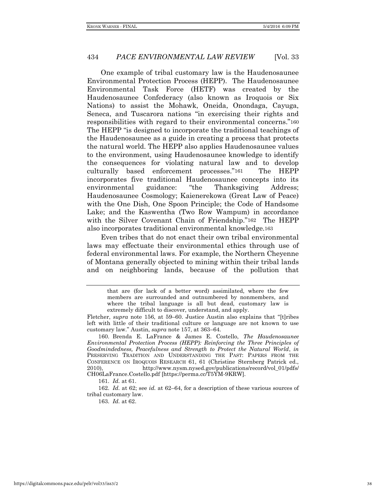One example of tribal customary law is the Haudenosaunee Environmental Protection Process (HEPP). The Haudenosaunee Environmental Task Force (HETF) was created by the Haudenosaunee Confederacy (also known as Iroquois or Six Nations) to assist the Mohawk, Oneida, Onondaga, Cayuga, Seneca, and Tuscarora nations "in exercising their rights and responsibilities with regard to their environmental concerns."160 The HEPP "is designed to incorporate the traditional teachings of the Haudenosaunee as a guide in creating a process that protects the natural world. The HEPP also applies Haudenosaunee values to the environment, using Haudenosaunee knowledge to identify the consequences for violating natural law and to develop culturally based enforcement processes."161 The HEPP incorporates five traditional Haudenosaunee concepts into its environmental guidance: "the Thanksgiving Address; Haudenosaunee Cosmology; Kaienerekowa (Great Law of Peace) with the One Dish, One Spoon Principle; the Code of Handsome Lake; and the Kaswentha (Two Row Wampum) in accordance with the Silver Covenant Chain of Friendship."162 The HEPP also incorporates traditional environmental knowledge.163

Even tribes that do not enact their own tribal environmental laws may effectuate their environmental ethics through use of federal environmental laws. For example, the Northern Cheyenne of Montana generally objected to mining within their tribal lands and on neighboring lands, because of the pollution that

163. *Id.* at 62.

that are (for lack of a better word) assimilated, where the few members are surrounded and outnumbered by nonmembers, and where the tribal language is all but dead, customary law is extremely difficult to discover, understand, and apply.

Fletcher, *supra* note 156, at 59–60. Justice Austin also explains that "[t]ribes left with little of their traditional culture or language are not known to use customary law." Austin, *supra* note 157, at 363–64.

<sup>160.</sup> Brenda E. LaFrance & James E. Costello, *The Haudenosaunee Environmental Protection Process (HEPP): Reinforcing the Three Principles of Goodmindedness, Peacefulness and Strength to Protect the Natural World*, *in*  PRESERVING TRADITION AND UNDERSTANDING THE PAST: PAPERS FROM THE CONFERENCE ON IROQUOIS RESEARCH 61, 61 (Christine Sternberg Patrick ed., 2010), http://www.nysm.nysed.gov/publications/record/vol\_01/pdfs/ CH06LaFrance.Costello.pdf [https://perma.cc/T5YM-9KRW].

<sup>161.</sup> *Id.* at 61.

<sup>162.</sup> *Id.* at 62; see *id.* at 62–64, for a description of these various sources of tribal customary law.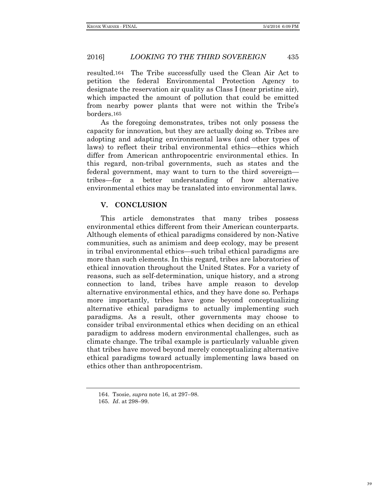resulted.164 The Tribe successfully used the Clean Air Act to petition the federal Environmental Protection Agency to designate the reservation air quality as Class I (near pristine air), which impacted the amount of pollution that could be emitted from nearby power plants that were not within the Tribe's borders.165

As the foregoing demonstrates, tribes not only possess the capacity for innovation, but they are actually doing so. Tribes are adopting and adapting environmental laws (and other types of laws) to reflect their tribal environmental ethics—ethics which differ from American anthropocentric environmental ethics. In this regard, non-tribal governments, such as states and the federal government, may want to turn to the third sovereign tribes—for a better understanding of how alternative environmental ethics may be translated into environmental laws.

## **V. CONCLUSION**

This article demonstrates that many tribes possess environmental ethics different from their American counterparts. Although elements of ethical paradigms considered by non-Native communities, such as animism and deep ecology, may be present in tribal environmental ethics—such tribal ethical paradigms are more than such elements. In this regard, tribes are laboratories of ethical innovation throughout the United States. For a variety of reasons, such as self-determination, unique history, and a strong connection to land, tribes have ample reason to develop alternative environmental ethics, and they have done so. Perhaps more importantly, tribes have gone beyond conceptualizing alternative ethical paradigms to actually implementing such paradigms. As a result, other governments may choose to consider tribal environmental ethics when deciding on an ethical paradigm to address modern environmental challenges, such as climate change. The tribal example is particularly valuable given that tribes have moved beyond merely conceptualizing alternative ethical paradigms toward actually implementing laws based on ethics other than anthropocentrism.

<sup>164.</sup> Tsosie, *supra* note 16, at 297–98.

<sup>165.</sup> *Id*. at 298–99.